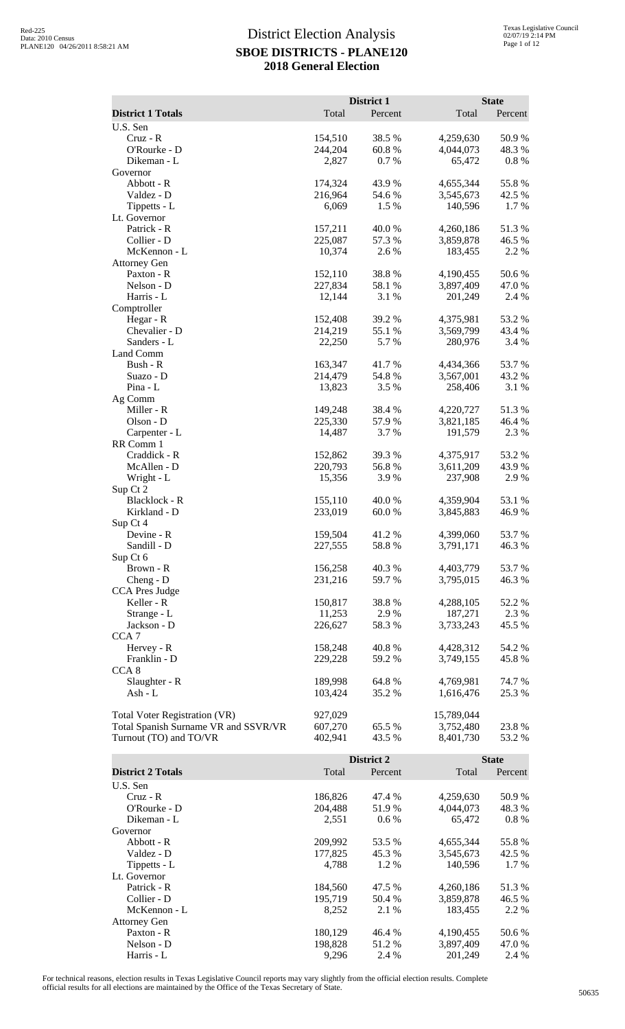|                                                                       |                    | District 1       |                         | <b>State</b>    |
|-----------------------------------------------------------------------|--------------------|------------------|-------------------------|-----------------|
| <b>District 1 Totals</b>                                              | Total              | Percent          | Total                   | Percent         |
| U.S. Sen<br>$Cruz - R$                                                | 154,510            | 38.5 %           | 4,259,630               | 50.9%           |
| O'Rourke - D                                                          | 244,204            | 60.8%            | 4,044,073               | 48.3%           |
| Dikeman - L                                                           | 2,827              | 0.7%             | 65,472                  | 0.8 %           |
| Governor                                                              |                    |                  |                         |                 |
| Abbott - R<br>Valdez - D                                              | 174,324<br>216,964 | 43.9%<br>54.6 %  | 4,655,344<br>3,545,673  | 55.8%<br>42.5 % |
| Tippetts - L                                                          | 6,069              | 1.5 %            | 140,596                 | 1.7%            |
| Lt. Governor                                                          |                    |                  |                         |                 |
| Patrick - R<br>Collier - D                                            | 157,211<br>225,087 | 40.0%<br>57.3 %  | 4,260,186<br>3,859,878  | 51.3%<br>46.5 % |
| McKennon - L                                                          | 10,374             | 2.6 %            | 183,455                 | 2.2 %           |
| <b>Attorney Gen</b>                                                   |                    |                  |                         |                 |
| Paxton - R                                                            | 152,110            | 38.8%            | 4,190,455               | 50.6%           |
| Nelson - D<br>Harris - L                                              | 227,834<br>12,144  | 58.1 %<br>3.1 %  | 3,897,409<br>201,249    | 47.0%<br>2.4 %  |
| Comptroller                                                           |                    |                  |                         |                 |
| Hegar - R                                                             | 152,408            | 39.2 %           | 4,375,981               | 53.2 %          |
| Chevalier - D                                                         | 214,219            | 55.1 %           | 3,569,799               | 43.4 %          |
| Sanders - L<br>Land Comm                                              | 22,250             | 5.7%             | 280,976                 | 3.4 %           |
| Bush - R                                                              | 163,347            | 41.7%            | 4,434,366               | 53.7%           |
| Suazo - D                                                             | 214,479            | 54.8%            | 3,567,001               | 43.2 %          |
| Pina - L                                                              | 13,823             | 3.5 %            | 258,406                 | 3.1 %           |
| Ag Comm<br>Miller - R                                                 | 149,248            | 38.4%            | 4,220,727               | 51.3%           |
| Olson - D                                                             | 225,330            | 57.9%            | 3,821,185               | 46.4 %          |
| Carpenter - L                                                         | 14,487             | 3.7%             | 191,579                 | 2.3 %           |
| RR Comm 1                                                             |                    |                  |                         |                 |
| Craddick - R<br>McAllen - D                                           | 152,862<br>220,793 | 39.3%<br>56.8%   | 4,375,917<br>3,611,209  | 53.2 %<br>43.9% |
| Wright - L                                                            | 15,356             | 3.9 %            | 237,908                 | 2.9%            |
| Sup Ct 2                                                              |                    |                  |                         |                 |
| Blacklock - R                                                         | 155,110            | 40.0%            | 4,359,904               | 53.1 %          |
| Kirkland - D<br>Sup Ct 4                                              | 233,019            | 60.0%            | 3,845,883               | 46.9%           |
| Devine - R                                                            | 159,504            | 41.2 %           | 4,399,060               | 53.7%           |
| Sandill - D                                                           | 227,555            | 58.8%            | 3,791,171               | 46.3 %          |
| Sup Ct 6<br>Brown - R                                                 | 156,258            | 40.3%            | 4,403,779               | 53.7%           |
| Cheng - D                                                             | 231,216            | 59.7%            | 3,795,015               | 46.3%           |
| CCA Pres Judge                                                        |                    |                  |                         |                 |
| Keller - R                                                            | 150,817            | 38.8%            | 4,288,105               | 52.2 %          |
| Strange - L<br>Jackson - D                                            | 11,253<br>226,627  | 2.9%<br>58.3%    | 187,271<br>3,733,243    | 2.3 %<br>45.5 % |
| CCA <sub>7</sub>                                                      |                    |                  |                         |                 |
| Hervey - R                                                            | 158,248            | 40.8%            | 4,428,312               | 54.2 %          |
| Franklin - D                                                          | 229,228            | 59.2 %           | 3,749,155               | 45.8%           |
| CCA <sub>8</sub><br>Slaughter - R                                     | 189,998            | 64.8%            | 4,769,981               | 74.7 %          |
| Ash - L                                                               | 103,424            | 35.2 %           | 1,616,476               | 25.3 %          |
|                                                                       |                    |                  |                         |                 |
| Total Voter Registration (VR)<br>Total Spanish Surname VR and SSVR/VR | 927,029<br>607,270 | 65.5 %           | 15,789,044<br>3,752,480 | 23.8%           |
| Turnout (TO) and TO/VR                                                | 402,941            | 43.5 %           | 8,401,730               | 53.2 %          |
|                                                                       |                    |                  |                         |                 |
|                                                                       |                    | District 2       |                         | <b>State</b>    |
| <b>District 2 Totals</b><br>U.S. Sen                                  | Total              | Percent          | Total                   | Percent         |
| Cruz - R                                                              | 186,826            | 47.4 %           | 4,259,630               | 50.9%           |
| O'Rourke - D                                                          | 204,488            | 51.9%            | 4,044,073               | 48.3%           |
| Dikeman - L                                                           | 2,551              | 0.6 %            | 65,472                  | 0.8 %           |
| Governor<br>Abbott - R                                                | 209,992            | 53.5 %           | 4,655,344               | 55.8%           |
| Valdez - D                                                            | 177,825            | 45.3 %           | 3,545,673               | 42.5 %          |
| Tippetts - L                                                          | 4,788              | 1.2%             | 140,596                 | 1.7 %           |
| Lt. Governor                                                          |                    |                  |                         |                 |
| Patrick - R<br>Collier - D                                            | 184,560<br>195,719 | 47.5 %<br>50.4 % | 4,260,186<br>3,859,878  | 51.3%<br>46.5 % |
| McKennon - L                                                          | 8,252              | 2.1 %            | 183,455                 | 2.2 %           |
| <b>Attorney Gen</b>                                                   |                    |                  |                         |                 |
| Paxton - R                                                            | 180,129            | 46.4 %           | 4,190,455               | 50.6 %          |

For technical reasons, election results in Texas Legislative Council reports may vary slightly from the official election results. Complete official results for all elections are maintained by the Office of the Texas Secretary of State. <sup>50635</sup>

Paxton - R<br>
Paxton - R<br>
Nelson - D<br>
Harris - L<br>  $\begin{array}{ccccccccc}\n & & & & & 180,129 & & 46.4 & & & 4,190,455 & & 50.6 &\n & & & & & & 3,897,409 & & 47.0 &\n & & & & & & & 3,897,409 & & 47.0 &\n & & & & & & & & 9,296 & & 2.4 &\n\end{array}$ Nelson - D 198,828 51.2 % 3,897,409 47.0 % Harris - L 8.4 % 201,249 2.4 % 201,249 2.4 %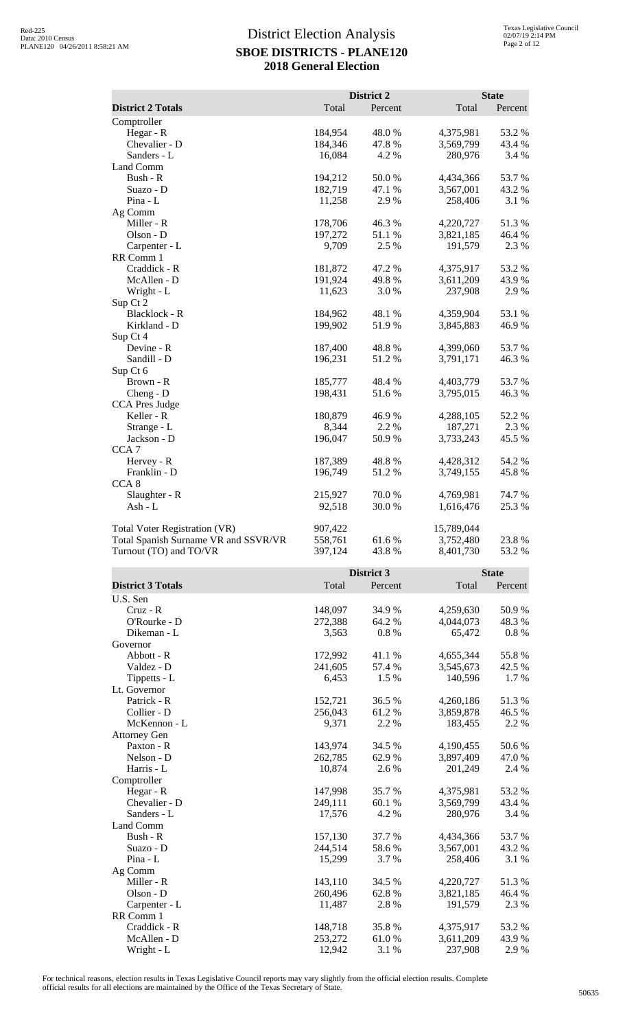| District 2<br><b>State</b><br><b>District 2 Totals</b><br>Total<br>Percent<br>Total<br>Percent<br>Comptroller<br>184,954<br>48.0%<br>53.2 %<br>Hegar - R<br>4,375,981<br>Chevalier - D<br>184,346<br>47.8%<br>3,569,799<br>43.4 %<br>Sanders - L<br>4.2 %<br>16,084<br>280,976<br>3.4 %<br>Land Comm<br>Bush - R<br>194,212<br>50.0%<br>4,434,366<br>53.7%<br>182,719<br>Suazo - D<br>47.1 %<br>3,567,001<br>43.2 %<br>Pina - L<br>11,258<br>3.1 %<br>2.9 %<br>258,406<br>Ag Comm<br>Miller - R<br>178,706<br>46.3%<br>4,220,727<br>51.3%<br>197,272<br>Olson - D<br>51.1 %<br>3,821,185<br>46.4 %<br>9,709<br>2.5 %<br>2.3 %<br>Carpenter - L<br>191,579<br>RR Comm 1<br>Craddick - R<br>181,872<br>47.2 %<br>4,375,917<br>53.2 %<br>191,924<br>McAllen - D<br>49.8%<br>3,611,209<br>43.9%<br>11,623<br>3.0%<br>2.9%<br>Wright - L<br>237,908<br>Sup Ct 2<br>Blacklock - R<br>184,962<br>48.1 %<br>4,359,904<br>53.1 %<br>Kirkland - D<br>199,902<br>51.9%<br>46.9%<br>3,845,883<br>Sup Ct 4<br>Devine - R<br>187,400<br>48.8%<br>53.7%<br>4,399,060<br>Sandill - D<br>196,231<br>51.2%<br>46.3%<br>3,791,171<br>Sup Ct 6<br>Brown - R<br>185,777<br>48.4 %<br>4,403,779<br>53.7%<br>Cheng - D<br>198,431<br>51.6%<br>46.3%<br>3,795,015<br><b>CCA</b> Pres Judge<br>Keller - R<br>180,879<br>46.9%<br>4,288,105<br>52.2 %<br>8,344<br>2.2%<br>187,271<br>2.3 %<br>Strange - L<br>196,047<br>3,733,243<br>45.5 %<br>Jackson - D<br>50.9 %<br>CCA <sub>7</sub><br>Hervey - R<br>187,389<br>48.8%<br>4,428,312<br>54.2 %<br>Franklin - D<br>196,749<br>51.2%<br>3,749,155<br>45.8%<br>CCA <sub>8</sub><br>Slaughter - R<br>215,927<br>70.0%<br>74.7%<br>4,769,981<br>25.3 %<br>92,518<br>30.0%<br>Ash - L<br>1,616,476<br>Total Voter Registration (VR)<br>15,789,044<br>907,422<br>558,761<br>23.8 %<br>Total Spanish Surname VR and SSVR/VR<br>61.6%<br>3,752,480<br>Turnout (TO) and TO/VR<br>397,124<br>43.8%<br>53.2 %<br>8,401,730 |
|-----------------------------------------------------------------------------------------------------------------------------------------------------------------------------------------------------------------------------------------------------------------------------------------------------------------------------------------------------------------------------------------------------------------------------------------------------------------------------------------------------------------------------------------------------------------------------------------------------------------------------------------------------------------------------------------------------------------------------------------------------------------------------------------------------------------------------------------------------------------------------------------------------------------------------------------------------------------------------------------------------------------------------------------------------------------------------------------------------------------------------------------------------------------------------------------------------------------------------------------------------------------------------------------------------------------------------------------------------------------------------------------------------------------------------------------------------------------------------------------------------------------------------------------------------------------------------------------------------------------------------------------------------------------------------------------------------------------------------------------------------------------------------------------------------------------------------------------------------------------------------------------------------------------------------------------|
|                                                                                                                                                                                                                                                                                                                                                                                                                                                                                                                                                                                                                                                                                                                                                                                                                                                                                                                                                                                                                                                                                                                                                                                                                                                                                                                                                                                                                                                                                                                                                                                                                                                                                                                                                                                                                                                                                                                                         |
|                                                                                                                                                                                                                                                                                                                                                                                                                                                                                                                                                                                                                                                                                                                                                                                                                                                                                                                                                                                                                                                                                                                                                                                                                                                                                                                                                                                                                                                                                                                                                                                                                                                                                                                                                                                                                                                                                                                                         |
|                                                                                                                                                                                                                                                                                                                                                                                                                                                                                                                                                                                                                                                                                                                                                                                                                                                                                                                                                                                                                                                                                                                                                                                                                                                                                                                                                                                                                                                                                                                                                                                                                                                                                                                                                                                                                                                                                                                                         |
|                                                                                                                                                                                                                                                                                                                                                                                                                                                                                                                                                                                                                                                                                                                                                                                                                                                                                                                                                                                                                                                                                                                                                                                                                                                                                                                                                                                                                                                                                                                                                                                                                                                                                                                                                                                                                                                                                                                                         |
|                                                                                                                                                                                                                                                                                                                                                                                                                                                                                                                                                                                                                                                                                                                                                                                                                                                                                                                                                                                                                                                                                                                                                                                                                                                                                                                                                                                                                                                                                                                                                                                                                                                                                                                                                                                                                                                                                                                                         |
|                                                                                                                                                                                                                                                                                                                                                                                                                                                                                                                                                                                                                                                                                                                                                                                                                                                                                                                                                                                                                                                                                                                                                                                                                                                                                                                                                                                                                                                                                                                                                                                                                                                                                                                                                                                                                                                                                                                                         |
|                                                                                                                                                                                                                                                                                                                                                                                                                                                                                                                                                                                                                                                                                                                                                                                                                                                                                                                                                                                                                                                                                                                                                                                                                                                                                                                                                                                                                                                                                                                                                                                                                                                                                                                                                                                                                                                                                                                                         |
|                                                                                                                                                                                                                                                                                                                                                                                                                                                                                                                                                                                                                                                                                                                                                                                                                                                                                                                                                                                                                                                                                                                                                                                                                                                                                                                                                                                                                                                                                                                                                                                                                                                                                                                                                                                                                                                                                                                                         |
|                                                                                                                                                                                                                                                                                                                                                                                                                                                                                                                                                                                                                                                                                                                                                                                                                                                                                                                                                                                                                                                                                                                                                                                                                                                                                                                                                                                                                                                                                                                                                                                                                                                                                                                                                                                                                                                                                                                                         |
|                                                                                                                                                                                                                                                                                                                                                                                                                                                                                                                                                                                                                                                                                                                                                                                                                                                                                                                                                                                                                                                                                                                                                                                                                                                                                                                                                                                                                                                                                                                                                                                                                                                                                                                                                                                                                                                                                                                                         |
|                                                                                                                                                                                                                                                                                                                                                                                                                                                                                                                                                                                                                                                                                                                                                                                                                                                                                                                                                                                                                                                                                                                                                                                                                                                                                                                                                                                                                                                                                                                                                                                                                                                                                                                                                                                                                                                                                                                                         |
|                                                                                                                                                                                                                                                                                                                                                                                                                                                                                                                                                                                                                                                                                                                                                                                                                                                                                                                                                                                                                                                                                                                                                                                                                                                                                                                                                                                                                                                                                                                                                                                                                                                                                                                                                                                                                                                                                                                                         |
|                                                                                                                                                                                                                                                                                                                                                                                                                                                                                                                                                                                                                                                                                                                                                                                                                                                                                                                                                                                                                                                                                                                                                                                                                                                                                                                                                                                                                                                                                                                                                                                                                                                                                                                                                                                                                                                                                                                                         |
|                                                                                                                                                                                                                                                                                                                                                                                                                                                                                                                                                                                                                                                                                                                                                                                                                                                                                                                                                                                                                                                                                                                                                                                                                                                                                                                                                                                                                                                                                                                                                                                                                                                                                                                                                                                                                                                                                                                                         |
|                                                                                                                                                                                                                                                                                                                                                                                                                                                                                                                                                                                                                                                                                                                                                                                                                                                                                                                                                                                                                                                                                                                                                                                                                                                                                                                                                                                                                                                                                                                                                                                                                                                                                                                                                                                                                                                                                                                                         |
|                                                                                                                                                                                                                                                                                                                                                                                                                                                                                                                                                                                                                                                                                                                                                                                                                                                                                                                                                                                                                                                                                                                                                                                                                                                                                                                                                                                                                                                                                                                                                                                                                                                                                                                                                                                                                                                                                                                                         |
|                                                                                                                                                                                                                                                                                                                                                                                                                                                                                                                                                                                                                                                                                                                                                                                                                                                                                                                                                                                                                                                                                                                                                                                                                                                                                                                                                                                                                                                                                                                                                                                                                                                                                                                                                                                                                                                                                                                                         |
|                                                                                                                                                                                                                                                                                                                                                                                                                                                                                                                                                                                                                                                                                                                                                                                                                                                                                                                                                                                                                                                                                                                                                                                                                                                                                                                                                                                                                                                                                                                                                                                                                                                                                                                                                                                                                                                                                                                                         |
|                                                                                                                                                                                                                                                                                                                                                                                                                                                                                                                                                                                                                                                                                                                                                                                                                                                                                                                                                                                                                                                                                                                                                                                                                                                                                                                                                                                                                                                                                                                                                                                                                                                                                                                                                                                                                                                                                                                                         |
|                                                                                                                                                                                                                                                                                                                                                                                                                                                                                                                                                                                                                                                                                                                                                                                                                                                                                                                                                                                                                                                                                                                                                                                                                                                                                                                                                                                                                                                                                                                                                                                                                                                                                                                                                                                                                                                                                                                                         |
|                                                                                                                                                                                                                                                                                                                                                                                                                                                                                                                                                                                                                                                                                                                                                                                                                                                                                                                                                                                                                                                                                                                                                                                                                                                                                                                                                                                                                                                                                                                                                                                                                                                                                                                                                                                                                                                                                                                                         |
|                                                                                                                                                                                                                                                                                                                                                                                                                                                                                                                                                                                                                                                                                                                                                                                                                                                                                                                                                                                                                                                                                                                                                                                                                                                                                                                                                                                                                                                                                                                                                                                                                                                                                                                                                                                                                                                                                                                                         |
|                                                                                                                                                                                                                                                                                                                                                                                                                                                                                                                                                                                                                                                                                                                                                                                                                                                                                                                                                                                                                                                                                                                                                                                                                                                                                                                                                                                                                                                                                                                                                                                                                                                                                                                                                                                                                                                                                                                                         |
|                                                                                                                                                                                                                                                                                                                                                                                                                                                                                                                                                                                                                                                                                                                                                                                                                                                                                                                                                                                                                                                                                                                                                                                                                                                                                                                                                                                                                                                                                                                                                                                                                                                                                                                                                                                                                                                                                                                                         |
|                                                                                                                                                                                                                                                                                                                                                                                                                                                                                                                                                                                                                                                                                                                                                                                                                                                                                                                                                                                                                                                                                                                                                                                                                                                                                                                                                                                                                                                                                                                                                                                                                                                                                                                                                                                                                                                                                                                                         |
|                                                                                                                                                                                                                                                                                                                                                                                                                                                                                                                                                                                                                                                                                                                                                                                                                                                                                                                                                                                                                                                                                                                                                                                                                                                                                                                                                                                                                                                                                                                                                                                                                                                                                                                                                                                                                                                                                                                                         |
|                                                                                                                                                                                                                                                                                                                                                                                                                                                                                                                                                                                                                                                                                                                                                                                                                                                                                                                                                                                                                                                                                                                                                                                                                                                                                                                                                                                                                                                                                                                                                                                                                                                                                                                                                                                                                                                                                                                                         |
|                                                                                                                                                                                                                                                                                                                                                                                                                                                                                                                                                                                                                                                                                                                                                                                                                                                                                                                                                                                                                                                                                                                                                                                                                                                                                                                                                                                                                                                                                                                                                                                                                                                                                                                                                                                                                                                                                                                                         |
|                                                                                                                                                                                                                                                                                                                                                                                                                                                                                                                                                                                                                                                                                                                                                                                                                                                                                                                                                                                                                                                                                                                                                                                                                                                                                                                                                                                                                                                                                                                                                                                                                                                                                                                                                                                                                                                                                                                                         |
|                                                                                                                                                                                                                                                                                                                                                                                                                                                                                                                                                                                                                                                                                                                                                                                                                                                                                                                                                                                                                                                                                                                                                                                                                                                                                                                                                                                                                                                                                                                                                                                                                                                                                                                                                                                                                                                                                                                                         |
|                                                                                                                                                                                                                                                                                                                                                                                                                                                                                                                                                                                                                                                                                                                                                                                                                                                                                                                                                                                                                                                                                                                                                                                                                                                                                                                                                                                                                                                                                                                                                                                                                                                                                                                                                                                                                                                                                                                                         |
|                                                                                                                                                                                                                                                                                                                                                                                                                                                                                                                                                                                                                                                                                                                                                                                                                                                                                                                                                                                                                                                                                                                                                                                                                                                                                                                                                                                                                                                                                                                                                                                                                                                                                                                                                                                                                                                                                                                                         |
|                                                                                                                                                                                                                                                                                                                                                                                                                                                                                                                                                                                                                                                                                                                                                                                                                                                                                                                                                                                                                                                                                                                                                                                                                                                                                                                                                                                                                                                                                                                                                                                                                                                                                                                                                                                                                                                                                                                                         |
|                                                                                                                                                                                                                                                                                                                                                                                                                                                                                                                                                                                                                                                                                                                                                                                                                                                                                                                                                                                                                                                                                                                                                                                                                                                                                                                                                                                                                                                                                                                                                                                                                                                                                                                                                                                                                                                                                                                                         |
|                                                                                                                                                                                                                                                                                                                                                                                                                                                                                                                                                                                                                                                                                                                                                                                                                                                                                                                                                                                                                                                                                                                                                                                                                                                                                                                                                                                                                                                                                                                                                                                                                                                                                                                                                                                                                                                                                                                                         |
|                                                                                                                                                                                                                                                                                                                                                                                                                                                                                                                                                                                                                                                                                                                                                                                                                                                                                                                                                                                                                                                                                                                                                                                                                                                                                                                                                                                                                                                                                                                                                                                                                                                                                                                                                                                                                                                                                                                                         |
|                                                                                                                                                                                                                                                                                                                                                                                                                                                                                                                                                                                                                                                                                                                                                                                                                                                                                                                                                                                                                                                                                                                                                                                                                                                                                                                                                                                                                                                                                                                                                                                                                                                                                                                                                                                                                                                                                                                                         |
|                                                                                                                                                                                                                                                                                                                                                                                                                                                                                                                                                                                                                                                                                                                                                                                                                                                                                                                                                                                                                                                                                                                                                                                                                                                                                                                                                                                                                                                                                                                                                                                                                                                                                                                                                                                                                                                                                                                                         |
| District 3<br><b>State</b>                                                                                                                                                                                                                                                                                                                                                                                                                                                                                                                                                                                                                                                                                                                                                                                                                                                                                                                                                                                                                                                                                                                                                                                                                                                                                                                                                                                                                                                                                                                                                                                                                                                                                                                                                                                                                                                                                                              |
| <b>District 3 Totals</b><br>Total<br>Percent<br>Total<br>Percent                                                                                                                                                                                                                                                                                                                                                                                                                                                                                                                                                                                                                                                                                                                                                                                                                                                                                                                                                                                                                                                                                                                                                                                                                                                                                                                                                                                                                                                                                                                                                                                                                                                                                                                                                                                                                                                                        |
| U.S. Sen                                                                                                                                                                                                                                                                                                                                                                                                                                                                                                                                                                                                                                                                                                                                                                                                                                                                                                                                                                                                                                                                                                                                                                                                                                                                                                                                                                                                                                                                                                                                                                                                                                                                                                                                                                                                                                                                                                                                |
| Cruz - R<br>148,097<br>34.9%<br>4,259,630<br>50.9%                                                                                                                                                                                                                                                                                                                                                                                                                                                                                                                                                                                                                                                                                                                                                                                                                                                                                                                                                                                                                                                                                                                                                                                                                                                                                                                                                                                                                                                                                                                                                                                                                                                                                                                                                                                                                                                                                      |
| O'Rourke - D<br>272,388<br>64.2 %<br>4,044,073<br>48.3%                                                                                                                                                                                                                                                                                                                                                                                                                                                                                                                                                                                                                                                                                                                                                                                                                                                                                                                                                                                                                                                                                                                                                                                                                                                                                                                                                                                                                                                                                                                                                                                                                                                                                                                                                                                                                                                                                 |
| Dikeman - L<br>3,563<br>0.8 %<br>65,472<br>$0.8 \%$                                                                                                                                                                                                                                                                                                                                                                                                                                                                                                                                                                                                                                                                                                                                                                                                                                                                                                                                                                                                                                                                                                                                                                                                                                                                                                                                                                                                                                                                                                                                                                                                                                                                                                                                                                                                                                                                                     |
| Governor                                                                                                                                                                                                                                                                                                                                                                                                                                                                                                                                                                                                                                                                                                                                                                                                                                                                                                                                                                                                                                                                                                                                                                                                                                                                                                                                                                                                                                                                                                                                                                                                                                                                                                                                                                                                                                                                                                                                |
| 55.8%<br>Abbott - R<br>172,992<br>41.1%<br>4,655,344                                                                                                                                                                                                                                                                                                                                                                                                                                                                                                                                                                                                                                                                                                                                                                                                                                                                                                                                                                                                                                                                                                                                                                                                                                                                                                                                                                                                                                                                                                                                                                                                                                                                                                                                                                                                                                                                                    |
| Valdez - D<br>241,605<br>57.4 %<br>3,545,673<br>42.5 %                                                                                                                                                                                                                                                                                                                                                                                                                                                                                                                                                                                                                                                                                                                                                                                                                                                                                                                                                                                                                                                                                                                                                                                                                                                                                                                                                                                                                                                                                                                                                                                                                                                                                                                                                                                                                                                                                  |
| 1.5 %<br>Tippetts - L<br>6,453<br>140,596<br>1.7 %                                                                                                                                                                                                                                                                                                                                                                                                                                                                                                                                                                                                                                                                                                                                                                                                                                                                                                                                                                                                                                                                                                                                                                                                                                                                                                                                                                                                                                                                                                                                                                                                                                                                                                                                                                                                                                                                                      |
| Lt. Governor                                                                                                                                                                                                                                                                                                                                                                                                                                                                                                                                                                                                                                                                                                                                                                                                                                                                                                                                                                                                                                                                                                                                                                                                                                                                                                                                                                                                                                                                                                                                                                                                                                                                                                                                                                                                                                                                                                                            |
| Patrick - R<br>152,721<br>36.5 %<br>4,260,186<br>51.3%                                                                                                                                                                                                                                                                                                                                                                                                                                                                                                                                                                                                                                                                                                                                                                                                                                                                                                                                                                                                                                                                                                                                                                                                                                                                                                                                                                                                                                                                                                                                                                                                                                                                                                                                                                                                                                                                                  |
| Collier - D<br>256,043<br>61.2%<br>3,859,878<br>46.5 %                                                                                                                                                                                                                                                                                                                                                                                                                                                                                                                                                                                                                                                                                                                                                                                                                                                                                                                                                                                                                                                                                                                                                                                                                                                                                                                                                                                                                                                                                                                                                                                                                                                                                                                                                                                                                                                                                  |
| McKennon - L<br>9,371<br>2.2 %<br>2.2 %<br>183,455                                                                                                                                                                                                                                                                                                                                                                                                                                                                                                                                                                                                                                                                                                                                                                                                                                                                                                                                                                                                                                                                                                                                                                                                                                                                                                                                                                                                                                                                                                                                                                                                                                                                                                                                                                                                                                                                                      |
| <b>Attorney Gen</b><br>Paxton - R<br>143,974<br>34.5 %<br>4,190,455<br>50.6%                                                                                                                                                                                                                                                                                                                                                                                                                                                                                                                                                                                                                                                                                                                                                                                                                                                                                                                                                                                                                                                                                                                                                                                                                                                                                                                                                                                                                                                                                                                                                                                                                                                                                                                                                                                                                                                            |
| Nelson - D<br>262,785<br>62.9%<br>3,897,409<br>47.0 %                                                                                                                                                                                                                                                                                                                                                                                                                                                                                                                                                                                                                                                                                                                                                                                                                                                                                                                                                                                                                                                                                                                                                                                                                                                                                                                                                                                                                                                                                                                                                                                                                                                                                                                                                                                                                                                                                   |
| Harris - L<br>10,874<br>2.6%<br>201,249<br>2.4 %                                                                                                                                                                                                                                                                                                                                                                                                                                                                                                                                                                                                                                                                                                                                                                                                                                                                                                                                                                                                                                                                                                                                                                                                                                                                                                                                                                                                                                                                                                                                                                                                                                                                                                                                                                                                                                                                                        |
| Comptroller                                                                                                                                                                                                                                                                                                                                                                                                                                                                                                                                                                                                                                                                                                                                                                                                                                                                                                                                                                                                                                                                                                                                                                                                                                                                                                                                                                                                                                                                                                                                                                                                                                                                                                                                                                                                                                                                                                                             |
| Hegar - R<br>147,998<br>35.7%<br>4,375,981<br>53.2 %                                                                                                                                                                                                                                                                                                                                                                                                                                                                                                                                                                                                                                                                                                                                                                                                                                                                                                                                                                                                                                                                                                                                                                                                                                                                                                                                                                                                                                                                                                                                                                                                                                                                                                                                                                                                                                                                                    |
| Chevalier - D<br>249,111<br>60.1%<br>43.4 %<br>3,569,799                                                                                                                                                                                                                                                                                                                                                                                                                                                                                                                                                                                                                                                                                                                                                                                                                                                                                                                                                                                                                                                                                                                                                                                                                                                                                                                                                                                                                                                                                                                                                                                                                                                                                                                                                                                                                                                                                |
| 17,576<br>Sanders - L<br>4.2 %<br>280,976<br>3.4 %                                                                                                                                                                                                                                                                                                                                                                                                                                                                                                                                                                                                                                                                                                                                                                                                                                                                                                                                                                                                                                                                                                                                                                                                                                                                                                                                                                                                                                                                                                                                                                                                                                                                                                                                                                                                                                                                                      |
| Land Comm                                                                                                                                                                                                                                                                                                                                                                                                                                                                                                                                                                                                                                                                                                                                                                                                                                                                                                                                                                                                                                                                                                                                                                                                                                                                                                                                                                                                                                                                                                                                                                                                                                                                                                                                                                                                                                                                                                                               |
| Bush - R<br>157,130<br>37.7 %<br>4,434,366<br>53.7%                                                                                                                                                                                                                                                                                                                                                                                                                                                                                                                                                                                                                                                                                                                                                                                                                                                                                                                                                                                                                                                                                                                                                                                                                                                                                                                                                                                                                                                                                                                                                                                                                                                                                                                                                                                                                                                                                     |
| Suazo - D<br>244,514<br>58.6%<br>3,567,001<br>43.2 %                                                                                                                                                                                                                                                                                                                                                                                                                                                                                                                                                                                                                                                                                                                                                                                                                                                                                                                                                                                                                                                                                                                                                                                                                                                                                                                                                                                                                                                                                                                                                                                                                                                                                                                                                                                                                                                                                    |
| Pina - L<br>15,299<br>3.7%<br>3.1 %<br>258,406                                                                                                                                                                                                                                                                                                                                                                                                                                                                                                                                                                                                                                                                                                                                                                                                                                                                                                                                                                                                                                                                                                                                                                                                                                                                                                                                                                                                                                                                                                                                                                                                                                                                                                                                                                                                                                                                                          |
| Ag Comm                                                                                                                                                                                                                                                                                                                                                                                                                                                                                                                                                                                                                                                                                                                                                                                                                                                                                                                                                                                                                                                                                                                                                                                                                                                                                                                                                                                                                                                                                                                                                                                                                                                                                                                                                                                                                                                                                                                                 |
| Miller - R<br>143,110<br>34.5 %<br>4,220,727<br>51.3%                                                                                                                                                                                                                                                                                                                                                                                                                                                                                                                                                                                                                                                                                                                                                                                                                                                                                                                                                                                                                                                                                                                                                                                                                                                                                                                                                                                                                                                                                                                                                                                                                                                                                                                                                                                                                                                                                   |
| Olson - D<br>46.4 %<br>260,496<br>62.8%<br>3,821,185                                                                                                                                                                                                                                                                                                                                                                                                                                                                                                                                                                                                                                                                                                                                                                                                                                                                                                                                                                                                                                                                                                                                                                                                                                                                                                                                                                                                                                                                                                                                                                                                                                                                                                                                                                                                                                                                                    |

Craddick - R 148,718 35.8 % 4,375,917 53.2 % McAllen - D 253,272 61.0 % 3,611,209 43.9 % Craddick - R<br>
Craddick - R<br>
McAllen - D<br>
Wright - L<br>
253,272<br>
12,942<br>
3.1 %<br>
237,908<br>
2.9 %

For technical reasons, election results in Texas Legislative Council reports may vary slightly from the official election results. Complete official results for all elections are maintained by the Office of the Texas Secretary of State. <sup>50635</sup>

RR Comm 1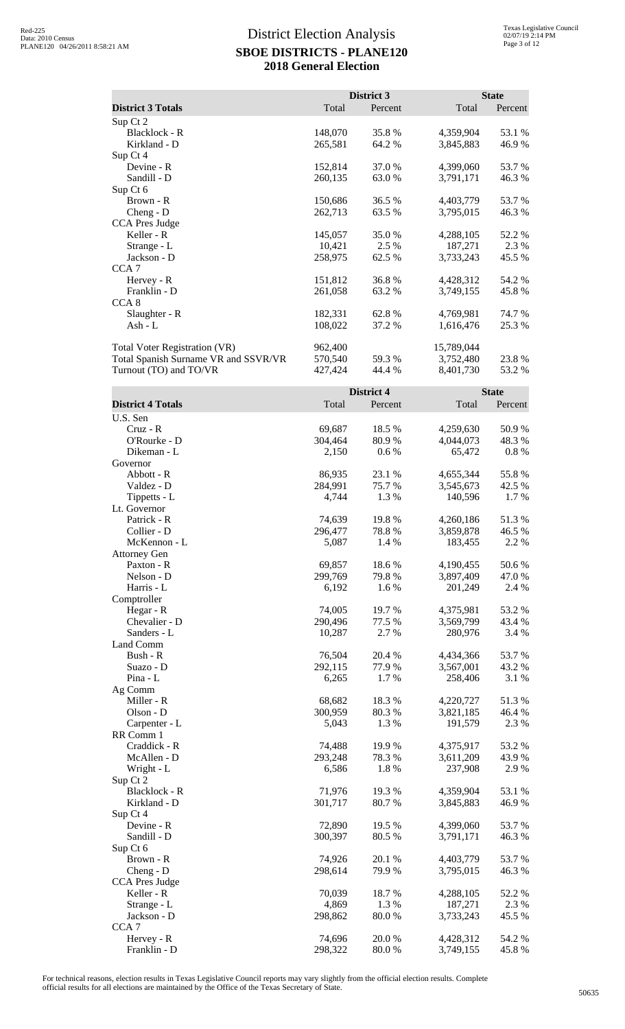|                                      |         | <b>District 3</b> |            | <b>State</b> |
|--------------------------------------|---------|-------------------|------------|--------------|
| <b>District 3 Totals</b>             | Total   | Percent           | Total      | Percent      |
| Sup Ct 2                             |         |                   |            |              |
| Blacklock - R                        | 148,070 | 35.8%             | 4,359,904  | 53.1 %       |
| Kirkland - D                         | 265,581 | 64.2 %            | 3,845,883  | 46.9%        |
| Sup Ct 4                             |         |                   |            |              |
| Devine - R                           | 152,814 | 37.0 %            | 4,399,060  | 53.7 %       |
| Sandill - D                          | 260,135 | 63.0 %            | 3,791,171  | 46.3%        |
| Sup Ct 6                             |         |                   |            |              |
| Brown - R                            | 150,686 | 36.5 %            | 4,403,779  | 53.7 %       |
| $Cheng - D$                          | 262,713 | 63.5 %            | 3,795,015  | 46.3%        |
| CCA Pres Judge                       |         |                   |            |              |
| Keller - R                           | 145,057 | 35.0 %            | 4,288,105  | 52.2 %       |
| Strange - L                          | 10,421  | 2.5 %             | 187,271    | 2.3 %        |
| Jackson - D                          | 258,975 | 62.5 %            | 3,733,243  | 45.5 %       |
| CCA <sub>7</sub>                     |         |                   |            |              |
| Hervey - R                           | 151,812 | 36.8%             | 4,428,312  | 54.2 %       |
| Franklin - D                         | 261,058 | 63.2 %            | 3,749,155  | 45.8%        |
| CCA <sub>8</sub>                     |         |                   |            |              |
| Slaughter - R                        | 182,331 | 62.8%             | 4,769,981  | 74.7 %       |
| $Ash - L$                            | 108,022 | 37.2 %            | 1,616,476  | 25.3 %       |
| Total Voter Registration (VR)        | 962,400 |                   | 15,789,044 |              |
| Total Spanish Surname VR and SSVR/VR | 570,540 | 59.3 %            | 3,752,480  | 23.8%        |
| Turnout (TO) and TO/VR               | 427,424 | 44.4 %            | 8,401,730  | 53.2%        |
|                                      |         | District 4        |            | <b>State</b> |
| <b>District 4 Totals</b>             | Total   | Percent           | Total      | Percent      |

| District 4 Totals     | 1 otal  | Percent | 1 otal    | Percent  |
|-----------------------|---------|---------|-----------|----------|
| U.S. Sen              |         |         |           |          |
| $Cruz - R$            | 69,687  | 18.5 %  | 4,259,630 | 50.9%    |
| O'Rourke - D          | 304,464 | 80.9%   | 4,044,073 | 48.3%    |
| Dikeman - L           | 2,150   | 0.6 %   | 65,472    | $0.8 \%$ |
| Governor              |         |         |           |          |
| Abbott - R            | 86,935  | 23.1 %  | 4,655,344 | 55.8%    |
| Valdez - D            | 284,991 | 75.7%   | 3,545,673 | 42.5 %   |
| Tippetts - L          | 4,744   | 1.3%    | 140,596   | 1.7 %    |
| Lt. Governor          |         |         |           |          |
| Patrick - R           | 74,639  | 19.8%   | 4,260,186 | 51.3%    |
| Collier - D           | 296,477 | 78.8%   | 3,859,878 | 46.5 %   |
| McKennon - L          | 5,087   | 1.4 %   | 183,455   | 2.2 %    |
| <b>Attorney Gen</b>   |         |         |           |          |
| Paxton - R            | 69,857  | 18.6%   | 4,190,455 | 50.6%    |
| Nelson - D            | 299,769 | 79.8%   | 3,897,409 | 47.0 %   |
| Harris - L            | 6,192   | 1.6 %   | 201,249   | 2.4 %    |
| Comptroller           |         |         |           |          |
| Hegar - R             | 74,005  | 19.7%   | 4,375,981 | 53.2 %   |
| Chevalier - D         | 290,496 | 77.5 %  | 3,569,799 | 43.4 %   |
| Sanders - L           | 10,287  | 2.7 %   | 280,976   | 3.4 %    |
| Land Comm             |         |         |           |          |
| Bush - R              | 76,504  | 20.4 %  | 4,434,366 | 53.7%    |
| Suazo - D             | 292,115 | 77.9%   | 3,567,001 | 43.2 %   |
| Pina - L              | 6,265   | 1.7%    | 258,406   | 3.1 %    |
| Ag Comm               |         |         |           |          |
| Miller - R            | 68,682  | 18.3%   | 4,220,727 | 51.3%    |
| Olson - D             | 300,959 | 80.3%   | 3,821,185 | 46.4 %   |
| Carpenter - L         | 5,043   | 1.3%    | 191,579   | 2.3 %    |
| RR Comm 1             |         |         |           |          |
| Craddick - R          | 74,488  | 19.9 %  | 4,375,917 | 53.2 %   |
| McAllen - D           | 293,248 | 78.3%   | 3,611,209 | 43.9 %   |
| Wright - L            | 6,586   | 1.8%    | 237,908   | 2.9%     |
| Sup Ct 2              |         |         |           |          |
| Blacklock - R         | 71,976  | 19.3 %  | 4,359,904 | 53.1 %   |
| Kirkland - D          | 301,717 | 80.7%   | 3,845,883 | 46.9%    |
| Sup Ct 4              |         |         |           |          |
| Devine - R            | 72,890  | 19.5 %  | 4,399,060 | 53.7%    |
| Sandill - D           | 300,397 | 80.5 %  | 3,791,171 | 46.3%    |
| Sup Ct 6              |         |         |           |          |
| Brown - R             | 74,926  | 20.1 %  | 4,403,779 | 53.7%    |
| Cheng - D             | 298,614 | 79.9 %  | 3,795,015 | 46.3 %   |
| <b>CCA Pres Judge</b> |         |         |           |          |
| Keller - R            | 70,039  | 18.7%   | 4,288,105 | 52.2 %   |
| Strange - L           | 4,869   | 1.3 %   | 187,271   | 2.3 %    |
| Jackson - D           | 298,862 | 80.0%   | 3,733,243 | 45.5 %   |
| CCA <sub>7</sub>      |         |         |           |          |
| Hervey - R            | 74,696  | 20.0 %  | 4,428,312 | 54.2 %   |
| Franklin - D          | 298,322 | 80.0%   | 3,749,155 | 45.8%    |
|                       |         |         |           |          |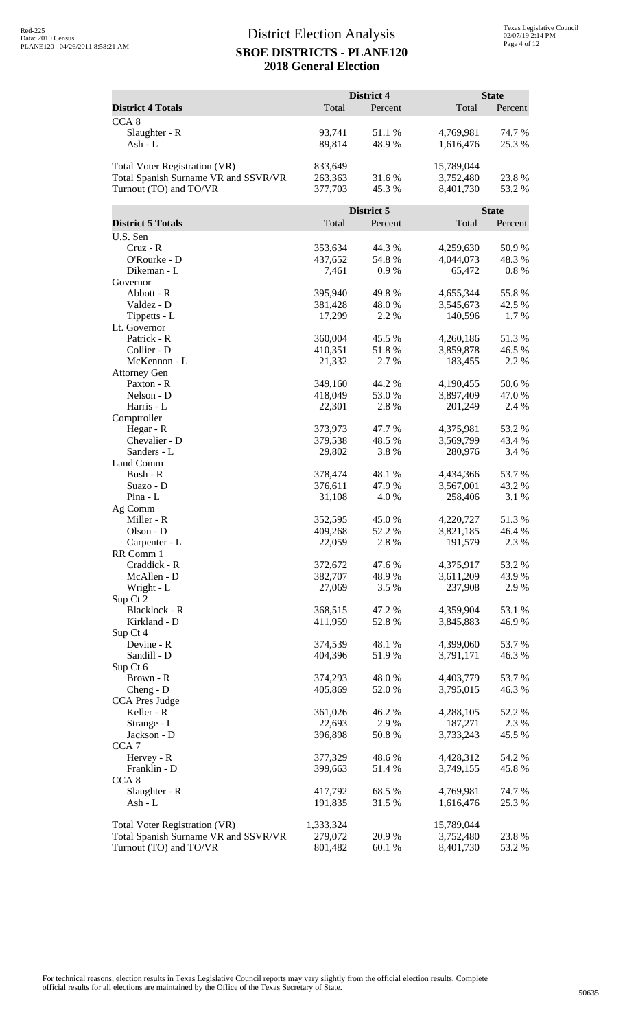|                                      |                    | District 4       |                        | <b>State</b>    |
|--------------------------------------|--------------------|------------------|------------------------|-----------------|
| <b>District 4 Totals</b>             | Total              | Percent          | Total                  | Percent         |
| CCA <sub>8</sub>                     |                    |                  |                        |                 |
| Slaughter - R                        | 93,741             | 51.1%            | 4,769,981              | 74.7 %          |
| Ash - L                              | 89,814             | 48.9%            | 1,616,476              | 25.3 %          |
|                                      |                    |                  |                        |                 |
| Total Voter Registration (VR)        | 833,649            |                  | 15,789,044             |                 |
| Total Spanish Surname VR and SSVR/VR | 263,363            | 31.6%            | 3,752,480              | 23.8 %          |
| Turnout (TO) and TO/VR               | 377,703            | 45.3%            | 8,401,730              | 53.2 %          |
|                                      |                    | District 5       |                        | <b>State</b>    |
| <b>District 5 Totals</b>             | Total              | Percent          | Total                  | Percent         |
| U.S. Sen                             |                    |                  |                        |                 |
| Cruz - R                             | 353,634            | 44.3 %           | 4,259,630              | 50.9%           |
| O'Rourke - D                         | 437,652            | 54.8%            | 4,044,073              | 48.3 %          |
| Dikeman - L                          | 7,461              | 0.9%             | 65,472                 | $0.8 \%$        |
| Governor                             |                    |                  |                        |                 |
| Abbott - R<br>Valdez - D             | 395,940            | 49.8%            | 4,655,344<br>3,545,673 | 55.8%           |
| Tippetts - L                         | 381,428<br>17,299  | 48.0%<br>2.2 %   | 140,596                | 42.5 %<br>1.7%  |
| Lt. Governor                         |                    |                  |                        |                 |
| Patrick - R                          | 360,004            | 45.5 %           | 4,260,186              | 51.3%           |
| Collier - D                          | 410,351            | 51.8%            | 3,859,878              | 46.5 %          |
| McKennon - L                         | 21,332             | 2.7 %            | 183,455                | 2.2 %           |
| <b>Attorney Gen</b>                  |                    |                  |                        |                 |
| Paxton - R                           | 349,160            | 44.2 %           | 4,190,455              | 50.6%           |
| Nelson - D                           | 418,049            | 53.0%            | 3,897,409              | 47.0 %          |
| Harris - L                           | 22,301             | 2.8 %            | 201,249                | 2.4 %           |
| Comptroller                          | 373,973            |                  |                        | 53.2 %          |
| Hegar - R<br>Chevalier - D           | 379,538            | 47.7 %<br>48.5 % | 4,375,981<br>3,569,799 | 43.4 %          |
| Sanders - L                          | 29,802             | 3.8%             | 280,976                | 3.4 %           |
| Land Comm                            |                    |                  |                        |                 |
| Bush - R                             | 378,474            | 48.1 %           | 4,434,366              | 53.7 %          |
| Suazo - D                            | 376,611            | 47.9%            | 3,567,001              | 43.2 %          |
| Pina - L                             | 31,108             | 4.0 %            | 258,406                | 3.1 %           |
| Ag Comm                              |                    |                  |                        |                 |
| Miller - R                           | 352,595            | 45.0%            | 4,220,727              | 51.3%           |
| Olson - D                            | 409,268<br>22,059  | 52.2 %<br>2.8 %  | 3,821,185<br>191,579   | 46.4 %<br>2.3 % |
| Carpenter - L<br>RR Comm 1           |                    |                  |                        |                 |
| Craddick - R                         | 372,672            | 47.6%            | 4,375,917              | 53.2 %          |
| McAllen - D                          | 382,707            | 48.9%            | 3,611,209              | 43.9 %          |
| Wright - L                           | 27,069             | 3.5 %            | 237,908                | 2.9%            |
| Sup Ct 2                             |                    |                  |                        |                 |
| <b>Blacklock - R</b>                 | 368,515            | 47.2 %           | 4,359,904              | 53.1 %          |
| Kirkland - D                         | 411,959            | 52.8%            | 3,845,883              | 46.9%           |
| Sup Ct 4                             |                    |                  |                        |                 |
| Devine - R<br>Sandill - D            | 374,539<br>404,396 | 48.1 %<br>51.9%  | 4,399,060<br>3,791,171 | 53.7%           |
| Sup Ct 6                             |                    |                  |                        | 46.3%           |
| Brown - R                            | 374,293            | 48.0%            | 4,403,779              | 53.7 %          |
| Cheng - D                            | 405,869            | 52.0 %           | 3,795,015              | 46.3 %          |
| <b>CCA Pres Judge</b>                |                    |                  |                        |                 |
| Keller - R                           | 361,026            | 46.2%            | 4,288,105              | 52.2 %          |
| Strange - L                          | 22,693             | 2.9%             | 187,271                | 2.3 %           |
| Jackson - D                          | 396,898            | 50.8%            | 3,733,243              | 45.5 %          |
| CCA <sub>7</sub>                     |                    |                  |                        |                 |
| Hervey - R                           | 377,329            | 48.6%            | 4,428,312              | 54.2 %          |
| Franklin - D<br>CCA <sub>8</sub>     | 399,663            | 51.4 %           | 3,749,155              | 45.8%           |
| Slaughter - R                        | 417,792            | 68.5 %           | 4,769,981              | 74.7 %          |
| Ash - L                              | 191,835            | 31.5 %           | 1,616,476              | 25.3 %          |
|                                      |                    |                  |                        |                 |
| Total Voter Registration (VR)        | 1,333,324          |                  | 15,789,044             |                 |
| Total Spanish Surname VR and SSVR/VR | 279,072            | 20.9 %           | 3,752,480              | 23.8%           |
| Turnout (TO) and TO/VR               | 801,482            | 60.1%            | 8,401,730              | 53.2 %          |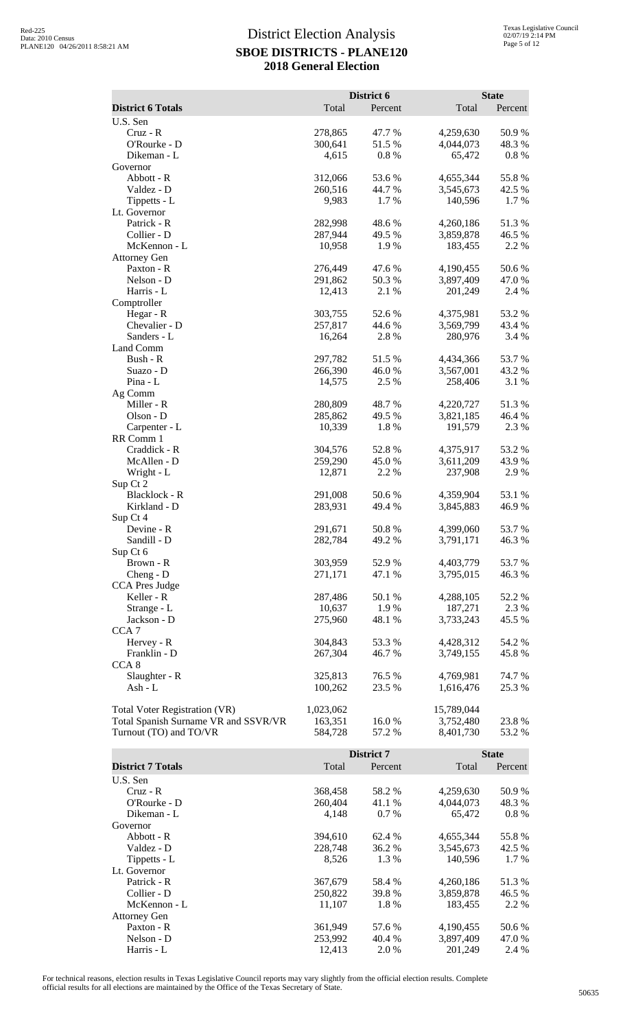|                                      |           | District 6 |            | <b>State</b> |
|--------------------------------------|-----------|------------|------------|--------------|
| <b>District 6 Totals</b>             | Total     | Percent    | Total      | Percent      |
| U.S. Sen                             |           |            |            |              |
| Cruz - R                             | 278,865   | 47.7 %     | 4,259,630  | 50.9%        |
| O'Rourke - D                         | 300,641   | 51.5%      | 4,044,073  | 48.3%        |
| Dikeman - L                          | 4,615     | 0.8 %      | 65,472     | 0.8 %        |
| Governor                             |           |            |            |              |
| Abbott - R                           | 312,066   | 53.6%      | 4,655,344  | 55.8%        |
| Valdez - D                           | 260,516   | 44.7%      | 3,545,673  | 42.5 %       |
| Tippetts - L                         | 9,983     | 1.7%       | 140,596    | 1.7%         |
| Lt. Governor                         |           |            |            |              |
| Patrick - R                          | 282,998   | 48.6%      | 4,260,186  | 51.3%        |
| Collier - D                          | 287,944   | 49.5 %     | 3,859,878  | 46.5 %       |
| McKennon - L                         | 10,958    | 1.9%       | 183,455    | 2.2 %        |
| <b>Attorney Gen</b>                  |           |            |            |              |
| Paxton - R                           | 276,449   | 47.6 %     | 4,190,455  | 50.6%        |
| Nelson - D                           | 291,862   | 50.3%      | 3,897,409  | 47.0 %       |
| Harris - L                           | 12,413    | 2.1 %      | 201,249    | 2.4 %        |
| Comptroller                          |           |            |            |              |
| Hegar - R                            | 303,755   | 52.6%      | 4,375,981  | 53.2 %       |
| Chevalier - D                        | 257,817   | 44.6%      | 3,569,799  | 43.4 %       |
| Sanders - L                          | 16,264    | 2.8 %      | 280,976    | 3.4 %        |
| Land Comm                            |           |            |            |              |
| Bush - R                             | 297,782   | 51.5%      | 4,434,366  | 53.7%        |
| Suazo - D                            | 266,390   | 46.0%      | 3,567,001  | 43.2 %       |
| Pina - L                             | 14,575    | 2.5 %      | 258,406    | 3.1 %        |
| Ag Comm                              |           |            |            |              |
| Miller - R                           | 280,809   | 48.7%      | 4,220,727  | 51.3%        |
| Olson - D                            | 285,862   | 49.5 %     | 3,821,185  | 46.4 %       |
| Carpenter - L<br>RR Comm 1           | 10,339    | 1.8%       | 191,579    | 2.3 %        |
| Craddick - R                         | 304,576   | 52.8%      | 4,375,917  | 53.2 %       |
| McAllen - D                          | 259,290   | 45.0%      | 3,611,209  | 43.9%        |
| Wright - L                           | 12,871    | 2.2 %      | 237,908    | 2.9%         |
| Sup Ct 2                             |           |            |            |              |
| Blacklock - R                        | 291,008   | 50.6%      | 4,359,904  | 53.1 %       |
| Kirkland - D                         | 283,931   | 49.4 %     | 3,845,883  | 46.9%        |
| Sup Ct 4                             |           |            |            |              |
| Devine - R                           | 291,671   | 50.8%      | 4,399,060  | 53.7%        |
| Sandill - D                          | 282,784   | 49.2 %     | 3,791,171  | 46.3%        |
| Sup Ct 6                             |           |            |            |              |
| Brown - R                            | 303,959   | 52.9%      | 4,403,779  | 53.7%        |
| Cheng - D                            | 271,171   | 47.1 %     | 3,795,015  | 46.3%        |
| CCA Pres Judge                       |           |            |            |              |
| Keller - R                           | 287,486   | 50.1 %     | 4,288,105  | 52.2 %       |
| Strange - L                          | 10,637    | 1.9%       | 187,271    | 2.3 %        |
| Jackson - D                          | 275,960   | 48.1 %     | 3,733,243  | 45.5 %       |
| CCA <sub>7</sub>                     |           |            |            |              |
| Hervey - R                           | 304,843   | 53.3 %     | 4,428,312  | 54.2 %       |
| Franklin - D                         | 267,304   | 46.7 %     | 3,749,155  | 45.8%        |
| CCA <sub>8</sub>                     |           |            |            |              |
| Slaughter - R                        | 325,813   | 76.5 %     | 4,769,981  | 74.7 %       |
| Ash - L                              | 100,262   | 23.5 %     | 1,616,476  | 25.3 %       |
|                                      |           |            |            |              |
| Total Voter Registration (VR)        | 1,023,062 |            | 15,789,044 |              |
| Total Spanish Surname VR and SSVR/VR | 163,351   | 16.0%      | 3,752,480  | 23.8%        |
| Turnout (TO) and TO/VR               | 584,728   | 57.2 %     | 8,401,730  | 53.2 %       |
|                                      |           |            |            |              |
|                                      |           | District 7 |            | <b>State</b> |

|                          |         | District 7 |           | <b>State</b> |  |
|--------------------------|---------|------------|-----------|--------------|--|
| <b>District 7 Totals</b> | Total   | Percent    | Total     | Percent      |  |
| U.S. Sen                 |         |            |           |              |  |
| $Cruz - R$               | 368,458 | 58.2 %     | 4,259,630 | 50.9%        |  |
| $O'Rowke - D$            | 260,404 | 41.1 %     | 4,044,073 | 48.3 %       |  |
| Dikeman - L              | 4.148   | $0.7\%$    | 65,472    | $0.8\%$      |  |
| Governor                 |         |            |           |              |  |
| Abbott - R               | 394.610 | 62.4 %     | 4,655,344 | 55.8%        |  |
| Valdez - D               | 228,748 | 36.2 %     | 3,545,673 | 42.5 %       |  |
| Tippetts - L             | 8,526   | 1.3 %      | 140,596   | 1.7 %        |  |
| Lt. Governor             |         |            |           |              |  |
| Patrick - R              | 367,679 | 58.4 %     | 4,260,186 | 51.3%        |  |
| Collier - D              | 250,822 | 39.8 %     | 3,859,878 | 46.5 %       |  |
| McKennon - L             | 11,107  | 1.8%       | 183,455   | 2.2 %        |  |
| <b>Attorney Gen</b>      |         |            |           |              |  |
| Paxton - R               | 361,949 | 57.6 %     | 4,190,455 | 50.6 %       |  |
| Nelson - D               | 253,992 | 40.4 %     | 3,897,409 | 47.0 %       |  |
| Harris - L               | 12.413  | 2.0 %      | 201,249   | 2.4 %        |  |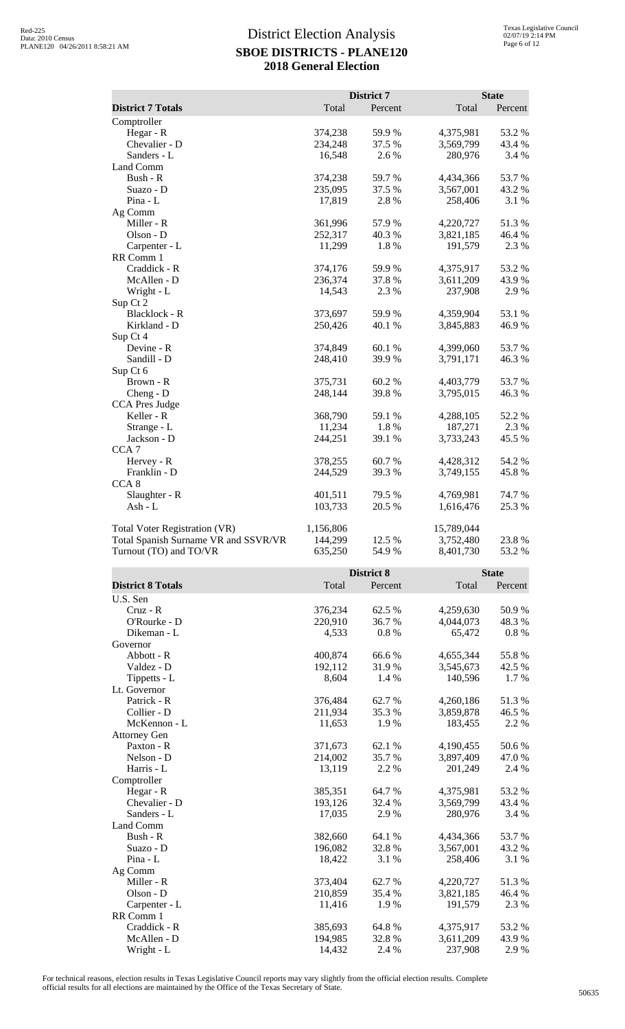|                                      |           | <b>District 7</b> |            | <b>State</b> |
|--------------------------------------|-----------|-------------------|------------|--------------|
| <b>District 7 Totals</b>             | Total     | Percent           | Total      | Percent      |
| Comptroller                          |           |                   |            |              |
| Hegar - R                            | 374,238   | 59.9%             | 4,375,981  | 53.2 %       |
| Chevalier - D                        | 234,248   | 37.5 %            | 3,569,799  | 43.4 %       |
| Sanders - L                          | 16,548    | 2.6 %             | 280,976    | 3.4 %        |
| Land Comm                            |           |                   |            |              |
| Bush - R                             | 374,238   | 59.7%             | 4,434,366  | 53.7%        |
| Suazo - D                            | 235,095   | 37.5 %            | 3,567,001  | 43.2 %       |
| Pina - L                             | 17,819    | 2.8%              | 258,406    | 3.1 %        |
| Ag Comm                              |           |                   |            |              |
| Miller - R                           | 361,996   | 57.9%             | 4,220,727  | 51.3%        |
| Olson - D                            | 252,317   | 40.3%             | 3,821,185  | 46.4 %       |
| Carpenter - L                        | 11,299    | 1.8%              | 191,579    | 2.3 %        |
| RR Comm 1                            |           |                   |            |              |
| Craddick - R                         | 374,176   | 59.9 %            | 4,375,917  | 53.2%        |
| McAllen - D                          | 236,374   | 37.8 %            | 3,611,209  | 43.9%        |
| Wright - L                           | 14,543    | 2.3 %             | 237,908    | 2.9%         |
| Sup Ct 2                             |           |                   |            |              |
| Blacklock - R                        | 373,697   | 59.9%             | 4,359,904  | 53.1 %       |
| Kirkland - D                         | 250,426   | 40.1 %            | 3,845,883  | 46.9%        |
| Sup Ct 4                             |           |                   |            |              |
| Devine - R                           | 374,849   | 60.1%             | 4,399,060  | 53.7%        |
| Sandill - D                          | 248,410   | 39.9%             | 3,791,171  | 46.3%        |
| Sup Ct 6                             |           |                   |            |              |
| Brown - R                            | 375,731   | 60.2%             | 4,403,779  | 53.7%        |
| Cheng - D                            | 248,144   | 39.8%             | 3,795,015  | 46.3%        |
| <b>CCA Pres Judge</b>                |           |                   |            |              |
| Keller - R                           | 368,790   | 59.1 %            | 4,288,105  | 52.2 %       |
| Strange - L                          | 11,234    | 1.8%              | 187,271    | 2.3 %        |
| Jackson - D                          | 244,251   | 39.1 %            | 3,733,243  | 45.5 %       |
| CCA <sub>7</sub>                     |           |                   |            |              |
| Hervey - R                           | 378,255   | 60.7 %            | 4,428,312  | 54.2 %       |
| Franklin - D<br>CCA <sub>8</sub>     | 244,529   | 39.3 %            | 3,749,155  | 45.8%        |
| Slaughter - R                        | 401,511   | 79.5 %            | 4,769,981  | 74.7%        |
| Ash - L                              | 103,733   | 20.5 %            | 1,616,476  | 25.3%        |
|                                      |           |                   |            |              |
| <b>Total Voter Registration (VR)</b> | 1,156,806 |                   | 15,789,044 |              |
| Total Spanish Surname VR and SSVR/VR | 144,299   | 12.5 %            | 3,752,480  | 23.8%        |
| Turnout (TO) and TO/VR               | 635,250   | 54.9 %            | 8,401,730  | 53.2%        |
|                                      |           |                   |            |              |
|                                      |           | <b>District 8</b> |            | <b>State</b> |
| <b>District 8 Totals</b>             | Total     | Percent           | Total      | Percent      |
|                                      |           |                   |            |              |

| <b>District 8 Totals</b> | 1 otal  | Percent | 1 otal    | Percent  |
|--------------------------|---------|---------|-----------|----------|
| U.S. Sen                 |         |         |           |          |
| Cruz - R                 | 376,234 | 62.5 %  | 4,259,630 | 50.9%    |
| O'Rourke - D             | 220,910 | 36.7 %  | 4,044,073 | 48.3 %   |
| Dikeman - L              | 4,533   | 0.8%    | 65,472    | $0.8 \%$ |
| Governor                 |         |         |           |          |
| Abbott - R               | 400,874 | 66.6%   | 4,655,344 | 55.8%    |
| Valdez - D               | 192,112 | 31.9 %  | 3,545,673 | 42.5 %   |
| Tippetts - L             | 8,604   | 1.4 %   | 140,596   | 1.7 %    |
| Lt. Governor             |         |         |           |          |
| Patrick - R              | 376,484 | 62.7%   | 4,260,186 | 51.3%    |
| Collier - D              | 211,934 | 35.3%   | 3,859,878 | 46.5 %   |
| McKennon - L             | 11,653  | 1.9%    | 183,455   | 2.2 %    |
| <b>Attorney Gen</b>      |         |         |           |          |
| Paxton - R               | 371,673 | 62.1 %  | 4,190,455 | 50.6%    |
| Nelson - D               | 214,002 | 35.7%   | 3,897,409 | 47.0 %   |
| Harris - L               | 13,119  | 2.2 %   | 201,249   | 2.4 %    |
| Comptroller              |         |         |           |          |
| Hegar - $R$              | 385,351 | 64.7%   | 4,375,981 | 53.2 %   |
| Chevalier - D            | 193,126 | 32.4 %  | 3,569,799 | 43.4 %   |
| Sanders - L              | 17,035  | 2.9 %   | 280,976   | 3.4 %    |
| Land Comm                |         |         |           |          |
| Bush - R                 | 382,660 | 64.1 %  | 4,434,366 | 53.7 %   |
| Suazo - D                | 196,082 | 32.8%   | 3,567,001 | 43.2 %   |
| $Pina - L$               | 18,422  | 3.1 %   | 258,406   | 3.1 %    |
| Ag Comm                  |         |         |           |          |
| Miller - R               | 373,404 | 62.7%   | 4,220,727 | 51.3%    |
| Olson - D                | 210,859 | 35.4 %  | 3,821,185 | 46.4 %   |
| Carpenter - L            | 11,416  | 1.9%    | 191,579   | 2.3 %    |
| RR Comm 1                |         |         |           |          |
| Craddick - R             | 385,693 | 64.8%   | 4,375,917 | 53.2 %   |
| McAllen - D              | 194,985 | 32.8%   | 3,611,209 | 43.9%    |
| Wright - L               | 14,432  | 2.4 %   | 237,908   | 2.9%     |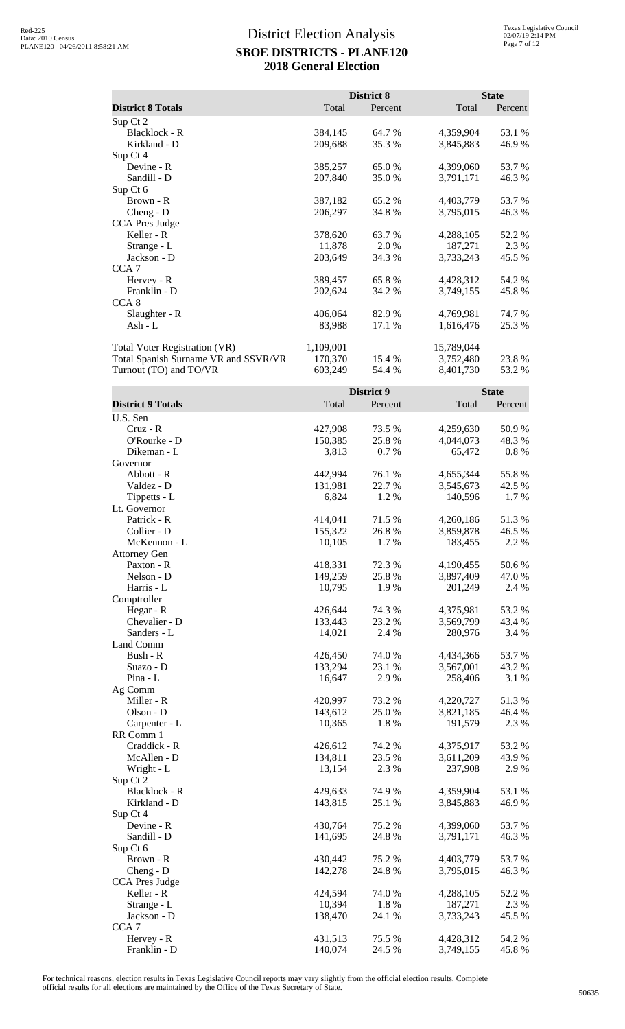|                                      |           | District 8 |            | <b>State</b> |
|--------------------------------------|-----------|------------|------------|--------------|
| <b>District 8 Totals</b>             | Total     | Percent    | Total      | Percent      |
| Sup Ct 2                             |           |            |            |              |
| Blacklock - R                        | 384,145   | 64.7%      | 4,359,904  | 53.1 %       |
| Kirkland - D                         | 209,688   | 35.3 %     | 3,845,883  | 46.9%        |
| Sup Ct 4                             |           |            |            |              |
| Devine - R                           | 385,257   | 65.0%      | 4,399,060  | 53.7%        |
| Sandill - D                          | 207,840   | 35.0%      | 3,791,171  | 46.3%        |
| Sup Ct 6                             |           |            |            |              |
| Brown - R                            | 387,182   | 65.2%      | 4,403,779  | 53.7%        |
| Cheng - D                            | 206,297   | 34.8%      | 3,795,015  | 46.3%        |
| <b>CCA Pres Judge</b>                |           |            |            |              |
| Keller - R                           | 378,620   | 63.7%      | 4,288,105  | 52.2 %       |
| Strange - L                          | 11,878    | 2.0%       | 187,271    | 2.3 %        |
| Jackson - D                          | 203,649   | 34.3 %     | 3,733,243  | 45.5 %       |
|                                      |           |            |            |              |
| CCA <sub>7</sub>                     |           |            |            |              |
| Hervey - R                           | 389,457   | 65.8%      | 4,428,312  | 54.2 %       |
| Franklin - D                         | 202,624   | 34.2 %     | 3,749,155  | 45.8%        |
| CCA <sub>8</sub>                     |           |            |            |              |
| Slaughter - R                        | 406,064   | 82.9%      | 4,769,981  | 74.7 %       |
| Ash - L                              | 83,988    | 17.1 %     | 1,616,476  | 25.3 %       |
| Total Voter Registration (VR)        | 1,109,001 |            | 15,789,044 |              |
| Total Spanish Surname VR and SSVR/VR | 170,370   | 15.4 %     | 3,752,480  | 23.8%        |
| Turnout (TO) and TO/VR               | 603,249   | 54.4 %     | 8,401,730  | 53.2 %       |
|                                      |           |            |            |              |
|                                      |           | District 9 |            | <b>State</b> |
| <b>District 9 Totals</b>             | Total     | Percent    | Total      | Percent      |
| U.S. Sen                             |           |            |            |              |
| $Cruz - R$                           | 427,908   | 73.5 %     | 4,259,630  | 50.9%        |
| O'Rourke - D                         | 150,385   | 25.8%      | 4,044,073  | 48.3%        |
| Dikeman - L                          | 3,813     | 0.7%       | 65,472     | 0.8 %        |
| Governor                             |           |            |            |              |
| Abbott - R                           | 442,994   | 76.1 %     | 4,655,344  | 55.8%        |
| Valdez - D                           | 131,981   | 22.7 %     | 3,545,673  | 42.5 %       |
| Tippetts - L                         | 6,824     | 1.2%       | 140,596    | 1.7%         |
| Lt. Governor                         |           |            |            |              |
| Patrick - R                          | 414,041   | 71.5 %     | 4,260,186  | 51.3%        |
| Collier - D                          | 155,322   | 26.8%      | 3,859,878  | 46.5 %       |
| McKennon - L                         | 10,105    | 1.7 %      | 183,455    | 2.2 %        |
| <b>Attorney Gen</b>                  |           |            |            |              |
| Paxton - R                           | 418,331   | 72.3 %     | 4,190,455  | 50.6%        |
| Nelson - D                           | 149,259   | 25.8%      | 3,897,409  | 47.0 %       |
| Harris - L                           | 10,795    | 1.9%       | 201,249    | 2.4 %        |
| Comptroller                          |           |            |            |              |
| Hegar - R                            | 426,644   | 74.3 %     | 4,375,981  | 53.2 %       |
| Chevalier - D                        | 133,443   | 23.2 %     | 3,569,799  | 43.4 %       |

| Sanders - L           | 14,021  | 2.4 %  | 280,976   | 3.4 %  |
|-----------------------|---------|--------|-----------|--------|
| Land Comm             |         |        |           |        |
| Bush - R              | 426,450 | 74.0 % | 4,434,366 | 53.7%  |
| Suazo - D             | 133,294 | 23.1 % | 3,567,001 | 43.2 % |
| $P$ ina - L           | 16,647  | 2.9%   | 258,406   | 3.1 %  |
| Ag Comm               |         |        |           |        |
| Miller - R            | 420,997 | 73.2 % | 4,220,727 | 51.3%  |
| $Olson - D$           | 143,612 | 25.0%  | 3,821,185 | 46.4 % |
| Carpenter - L         | 10,365  | 1.8%   | 191,579   | 2.3 %  |
| RR Comm 1             |         |        |           |        |
| Craddick - R          | 426,612 | 74.2 % | 4,375,917 | 53.2 % |
| McAllen - D           | 134,811 | 23.5 % | 3,611,209 | 43.9 % |
| Wright - L            | 13,154  | 2.3 %  | 237,908   | 2.9%   |
| Sup Ct 2              |         |        |           |        |
| Blacklock - R         | 429,633 | 74.9%  | 4,359,904 | 53.1 % |
| Kirkland - D          | 143,815 | 25.1 % | 3,845,883 | 46.9%  |
| Sup Ct 4              |         |        |           |        |
| Devine - R            | 430,764 | 75.2 % | 4,399,060 | 53.7%  |
| Sandill - D           | 141,695 | 24.8%  | 3,791,171 | 46.3%  |
| Sup Ct 6              |         |        |           |        |
| Brown - R             | 430,442 | 75.2 % | 4,403,779 | 53.7%  |
| $Cheng - D$           | 142,278 | 24.8 % | 3,795,015 | 46.3 % |
| <b>CCA</b> Pres Judge |         |        |           |        |
| Keller - R            | 424,594 | 74.0%  | 4,288,105 | 52.2 % |
| Strange - L           | 10,394  | 1.8%   | 187,271   | 2.3 %  |
| Jackson - D           | 138,470 | 24.1 % | 3,733,243 | 45.5 % |
| CCA <sub>7</sub>      |         |        |           |        |
| Hervey - R            | 431,513 | 75.5 % | 4,428,312 | 54.2 % |
| Franklin - D          | 140,074 | 24.5 % | 3,749,155 | 45.8%  |
|                       |         |        |           |        |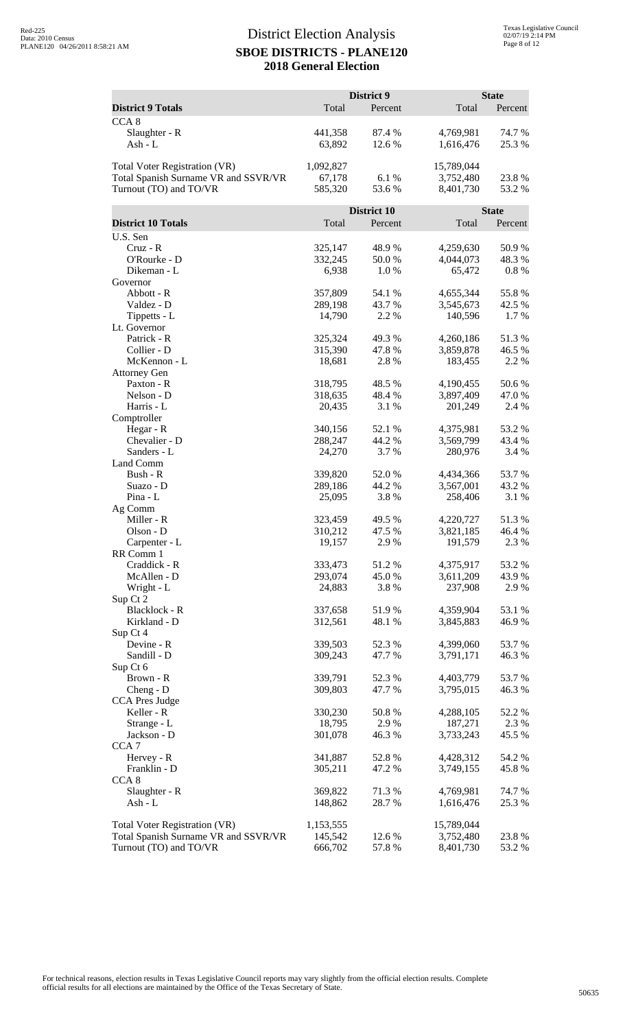|                                                                |                    | District 9       |                        | <b>State</b>     |
|----------------------------------------------------------------|--------------------|------------------|------------------------|------------------|
| <b>District 9 Totals</b>                                       | Total              | Percent          | Total                  | Percent          |
| CCA <sub>8</sub>                                               |                    |                  |                        |                  |
| Slaughter - R<br>Ash - L                                       | 441,358<br>63,892  | 87.4 %<br>12.6 % | 4,769,981<br>1,616,476 | 74.7 %<br>25.3 % |
|                                                                |                    |                  |                        |                  |
| Total Voter Registration (VR)                                  | 1,092,827          |                  | 15,789,044             |                  |
| Total Spanish Surname VR and SSVR/VR<br>Turnout (TO) and TO/VR | 67,178<br>585,320  | 6.1%<br>53.6%    | 3,752,480<br>8,401,730 | 23.8%<br>53.2 %  |
|                                                                |                    |                  |                        |                  |
|                                                                |                    | District 10      |                        | <b>State</b>     |
| <b>District 10 Totals</b>                                      | Total              | Percent          | Total                  | Percent          |
| U.S. Sen<br>$Cruz - R$                                         | 325,147            | 48.9 %           | 4,259,630              | 50.9%            |
| O'Rourke - D                                                   | 332,245            | 50.0%            | 4,044,073              | 48.3%            |
| Dikeman - L                                                    | 6,938              | 1.0%             | 65,472                 | $0.8 \%$         |
| Governor                                                       |                    |                  |                        |                  |
| Abbott - R                                                     | 357,809            | 54.1 %           | 4,655,344              | 55.8%            |
| Valdez - D<br>Tippetts - L                                     | 289,198<br>14,790  | 43.7%<br>2.2 %   | 3,545,673<br>140,596   | 42.5 %<br>1.7%   |
| Lt. Governor                                                   |                    |                  |                        |                  |
| Patrick - R                                                    | 325,324            | 49.3%            | 4,260,186              | 51.3%            |
| Collier - D                                                    | 315,390            | 47.8%            | 3,859,878              | 46.5 %           |
| McKennon - L                                                   | 18,681             | 2.8%             | 183,455                | 2.2 %            |
| <b>Attorney Gen</b>                                            |                    |                  |                        |                  |
| Paxton - R                                                     | 318,795            | 48.5 %           | 4,190,455              | 50.6%            |
| Nelson - D<br>Harris - L                                       | 318,635<br>20,435  | 48.4%<br>3.1 %   | 3,897,409<br>201,249   | 47.0 %<br>2.4 %  |
| Comptroller                                                    |                    |                  |                        |                  |
| Hegar - R                                                      | 340,156            | 52.1 %           | 4,375,981              | 53.2 %           |
| Chevalier - D                                                  | 288,247            | 44.2 %           | 3,569,799              | 43.4 %           |
| Sanders - L                                                    | 24,270             | 3.7%             | 280,976                | 3.4 %            |
| Land Comm                                                      |                    |                  |                        |                  |
| Bush - R<br>Suazo - D                                          | 339,820<br>289,186 | 52.0%<br>44.2 %  | 4,434,366<br>3,567,001 | 53.7%<br>43.2 %  |
| $Pina - L$                                                     | 25,095             | 3.8%             | 258,406                | 3.1 %            |
| Ag Comm                                                        |                    |                  |                        |                  |
| Miller - R                                                     | 323,459            | 49.5 %           | 4,220,727              | 51.3%            |
| Olson - D                                                      | 310,212            | 47.5 %           | 3,821,185              | 46.4 %           |
| Carpenter - L                                                  | 19,157             | 2.9%             | 191,579                | 2.3 %            |
| RR Comm 1<br>Craddick - R                                      | 333,473            | 51.2%            | 4,375,917              | 53.2 %           |
| McAllen - D                                                    | 293,074            | 45.0%            | 3,611,209              | 43.9%            |
| Wright - L                                                     | 24,883             | 3.8%             | 237,908                | 2.9 %            |
| Sup Ct 2                                                       |                    |                  |                        |                  |
| Blacklock - R                                                  | 337,658            | 51.9%            | 4,359,904              | 53.1 %           |
| Kirkland - D                                                   | 312,561            | 48.1 %           | 3,845,883              | 46.9%            |
| Sup Ct 4<br>Devine - R                                         | 339,503            | 52.3 %           | 4,399,060              | 53.7%            |
| Sandill - D                                                    | 309,243            | 47.7 %           | 3,791,171              | 46.3%            |
| Sup Ct 6                                                       |                    |                  |                        |                  |
| Brown - R                                                      | 339,791            | 52.3 %           | 4,403,779              | 53.7%            |
| Cheng - D                                                      | 309,803            | 47.7 %           | 3,795,015              | 46.3%            |
| <b>CCA Pres Judge</b>                                          |                    |                  |                        |                  |
| Keller - R<br>Strange - L                                      | 330,230<br>18,795  | 50.8%<br>2.9%    | 4,288,105<br>187,271   | 52.2 %<br>2.3 %  |
| Jackson - D                                                    | 301,078            | 46.3%            | 3,733,243              | 45.5 %           |
| CCA <sub>7</sub>                                               |                    |                  |                        |                  |
| Hervey - R                                                     | 341,887            | 52.8%            | 4,428,312              | 54.2 %           |
| Franklin - D                                                   | 305,211            | 47.2 %           | 3,749,155              | 45.8%            |
| CCA <sub>8</sub>                                               |                    |                  |                        |                  |
| Slaughter - R<br>Ash - L                                       | 369,822<br>148,862 | 71.3%<br>28.7 %  | 4,769,981<br>1,616,476 | 74.7 %<br>25.3 % |
|                                                                |                    |                  |                        |                  |
| Total Voter Registration (VR)                                  | 1,153,555          |                  | 15,789,044             |                  |
| Total Spanish Surname VR and SSVR/VR                           | 145,542            | 12.6 %           | 3,752,480              | 23.8 %           |
| Turnout (TO) and TO/VR                                         | 666,702            | 57.8%            | 8,401,730              | 53.2 %           |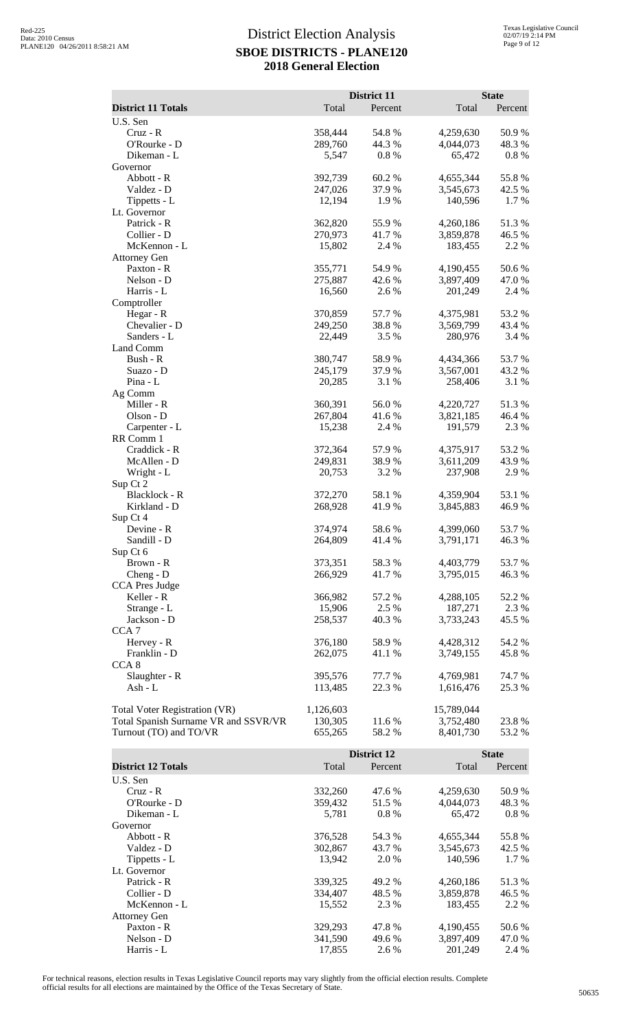|                                      |           | District 11 |            | <b>State</b> |
|--------------------------------------|-----------|-------------|------------|--------------|
| <b>District 11 Totals</b>            | Total     | Percent     | Total      | Percent      |
| U.S. Sen                             |           |             |            |              |
| $Cruz - R$                           | 358,444   | 54.8%       | 4,259,630  | 50.9%        |
| O'Rourke - D                         | 289,760   | 44.3 %      | 4,044,073  | 48.3 %       |
| Dikeman - L                          | 5,547     | 0.8 %       | 65,472     | 0.8%         |
| Governor                             |           |             |            |              |
| Abbott - R                           | 392,739   | 60.2%       | 4,655,344  | 55.8 %       |
| Valdez - D                           | 247,026   | 37.9 %      | 3,545,673  | 42.5 %       |
| Tippetts - L                         | 12,194    | 1.9%        | 140,596    | 1.7%         |
| Lt. Governor                         |           |             |            |              |
| Patrick - R                          | 362,820   | 55.9%       | 4,260,186  | 51.3%        |
| Collier - D                          | 270,973   | 41.7%       | 3,859,878  | 46.5 %       |
| McKennon - L                         | 15,802    | 2.4 %       | 183,455    | 2.2 %        |
| <b>Attorney Gen</b>                  |           |             |            |              |
| Paxton - R                           | 355,771   | 54.9%       | 4,190,455  | 50.6%        |
| Nelson - D                           | 275,887   | 42.6 %      | 3,897,409  | 47.0%        |
| Harris - L                           | 16,560    | 2.6%        | 201,249    | 2.4 %        |
| Comptroller                          |           |             |            |              |
| Hegar - R                            | 370,859   | 57.7 %      | 4,375,981  | 53.2 %       |
| Chevalier - D                        | 249,250   | 38.8%       | 3,569,799  | 43.4 %       |
| Sanders - L                          | 22,449    | 3.5 %       | 280,976    | 3.4 %        |
| Land Comm                            |           |             |            |              |
| Bush - R                             | 380,747   | 58.9%       | 4,434,366  | 53.7%        |
| Suazo - D                            | 245,179   | 37.9%       | 3,567,001  | 43.2 %       |
| Pina - L                             | 20,285    | 3.1 %       | 258,406    | 3.1 %        |
| Ag Comm                              |           |             |            |              |
| Miller - R                           | 360,391   | 56.0%       | 4,220,727  | 51.3%        |
| Olson - D                            | 267,804   | 41.6%       | 3,821,185  | 46.4 %       |
| Carpenter - L                        | 15,238    | 2.4 %       | 191,579    | 2.3 %        |
| RR Comm 1                            |           |             |            |              |
| Craddick - R                         | 372,364   | 57.9%       | 4,375,917  | 53.2 %       |
| McAllen - D                          | 249,831   | 38.9 %      | 3,611,209  | 43.9%        |
| Wright - L                           | 20,753    | 3.2 %       | 237,908    | 2.9%         |
| Sup Ct 2                             |           |             |            |              |
| Blacklock - R                        | 372,270   | 58.1 %      | 4,359,904  | 53.1 %       |
| Kirkland - D                         | 268,928   | 41.9%       | 3,845,883  | 46.9%        |
| Sup Ct 4                             |           |             |            |              |
| Devine - R                           | 374,974   | 58.6%       | 4,399,060  | 53.7%        |
| Sandill - D                          | 264,809   | 41.4%       | 3,791,171  | 46.3%        |
| Sup Ct 6                             |           |             |            |              |
| Brown - R                            | 373,351   | 58.3%       | 4,403,779  | 53.7 %       |
| $Cheng - D$                          | 266,929   | 41.7%       | 3,795,015  | 46.3%        |
| CCA Pres Judge                       |           |             |            |              |
| Keller - R                           | 366,982   | 57.2 %      | 4,288,105  | 52.2 %       |
| Strange - L                          | 15,906    | 2.5 %       | 187,271    | 2.3 %        |
| Jackson - D                          | 258,537   | 40.3 %      | 3,733,243  | 45.5 %       |
| CCA <sub>7</sub>                     |           |             |            |              |
| Hervey - R                           | 376,180   | 58.9%       | 4,428,312  | 54.2 %       |
| Franklin - D                         | 262,075   | 41.1 %      | 3,749,155  | 45.8%        |
| CCA 8                                |           |             |            |              |
| Slaughter - R                        | 395,576   | 77.7 %      | 4,769,981  | 74.7%        |
| Ash - L                              | 113,485   | 22.3 %      | 1,616,476  | 25.3 %       |
|                                      |           |             |            |              |
| Total Voter Registration (VR)        | 1,126,603 |             | 15,789,044 |              |
| Total Spanish Surname VR and SSVR/VR | 130,305   | 11.6%       | 3,752,480  | 23.8%        |
| Turnout (TO) and TO/VR               | 655,265   | 58.2%       | 8,401,730  | 53.2 %       |
|                                      |           |             |            |              |

|                           |         | <b>District 12</b> |           | <b>State</b> |  |
|---------------------------|---------|--------------------|-----------|--------------|--|
| <b>District 12 Totals</b> | Total   | Percent            | Total     | Percent      |  |
| U.S. Sen                  |         |                    |           |              |  |
| $Cruz - R$                | 332,260 | 47.6 %             | 4,259,630 | 50.9 %       |  |
| O'Rourke - D              | 359,432 | 51.5 %             | 4,044,073 | 48.3 %       |  |
| Dikeman - L               | 5,781   | $0.8\%$            | 65,472    | $0.8\%$      |  |
| Governor                  |         |                    |           |              |  |
| Abbott - R                | 376,528 | 54.3 %             | 4,655,344 | 55.8%        |  |
| Valdez - D                | 302,867 | 43.7 %             | 3,545,673 | 42.5 %       |  |
| Tippetts - L              | 13,942  | 2.0 %              | 140.596   | $1.7\%$      |  |
| Lt. Governor              |         |                    |           |              |  |
| Patrick - R               | 339,325 | 49.2 %             | 4,260,186 | 51.3 %       |  |
| Collier - D               | 334,407 | 48.5 %             | 3,859,878 | 46.5 %       |  |
| McKennon - L              | 15,552  | 2.3 %              | 183.455   | 2.2 %        |  |
| <b>Attorney Gen</b>       |         |                    |           |              |  |
| Paxton - R                | 329,293 | 47.8%              | 4,190,455 | 50.6 %       |  |
| Nelson - D                | 341,590 | 49.6 %             | 3,897,409 | 47.0 %       |  |
| Harris - L                | 17,855  | 2.6 %              | 201,249   | 2.4 %        |  |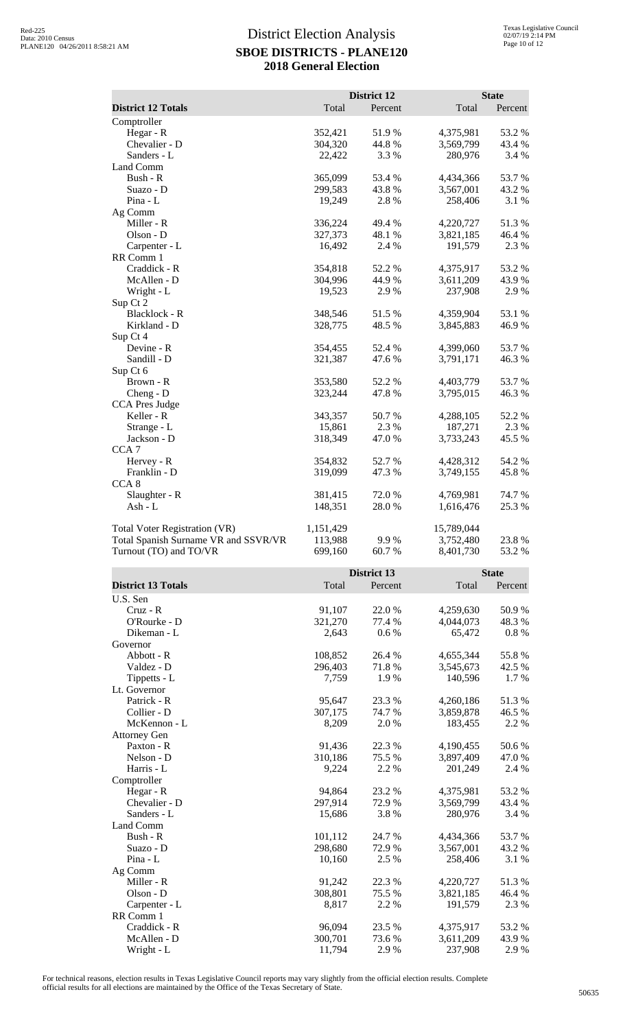|                                      |                    | District 12       |                      | <b>State</b>      |
|--------------------------------------|--------------------|-------------------|----------------------|-------------------|
| <b>District 12 Totals</b>            | Total              | Percent           | Total                | Percent           |
| Comptroller                          |                    |                   |                      |                   |
| Hegar - R                            | 352,421            | 51.9%             | 4,375,981            | 53.2 %            |
| Chevalier - D                        | 304,320            | 44.8%             | 3,569,799            | 43.4 %            |
| Sanders - L                          | 22,422             | 3.3 %             | 280,976              | 3.4 %             |
| Land Comm                            |                    |                   |                      |                   |
| Bush - R                             | 365,099            | 53.4 %            | 4,434,366            | 53.7%             |
| Suazo - D                            | 299,583            | 43.8%             | 3,567,001            | 43.2 %            |
| Pina - L                             | 19,249             | 2.8%              | 258,406              | 3.1 %             |
| Ag Comm                              |                    |                   |                      |                   |
| Miller - R                           | 336,224            | 49.4 %            | 4,220,727            | 51.3%             |
| Olson - D                            | 327,373            | 48.1 %            | 3,821,185            | 46.4 %            |
| Carpenter - L                        | 16,492             | 2.4 %             | 191,579              | 2.3 %             |
| RR Comm 1                            |                    |                   |                      |                   |
| Craddick - R                         | 354,818            | 52.2 %            | 4,375,917            | 53.2 %            |
| McAllen - D                          | 304,996            | 44.9%             | 3,611,209            | 43.9%             |
| Wright - L                           | 19,523             | 2.9%              | 237,908              | 2.9 %             |
| Sup Ct 2                             |                    |                   |                      |                   |
| Blacklock - R                        | 348,546            | 51.5 %            | 4,359,904            | 53.1 %            |
| Kirkland - D                         | 328,775            | 48.5 %            | 3,845,883            | 46.9%             |
| Sup Ct 4                             |                    |                   |                      |                   |
| Devine - R                           | 354,455            | 52.4 %            | 4,399,060            | 53.7%             |
| Sandill - D                          | 321,387            | 47.6 %            | 3,791,171            | 46.3%             |
| Sup Ct 6                             |                    |                   |                      |                   |
| Brown - R                            | 353,580            | 52.2 %            | 4,403,779            | 53.7%             |
| Cheng - D                            | 323,244            | 47.8%             | 3,795,015            | 46.3%             |
| <b>CCA Pres Judge</b>                |                    |                   |                      |                   |
| Keller - R                           | 343,357            | 50.7%             | 4,288,105            | 52.2 %            |
| Strange - L                          | 15,861             | 2.3 %             | 187,271              | 2.3 %             |
| Jackson - D                          | 318,349            | 47.0 %            | 3,733,243            | 45.5 %            |
| CCA <sub>7</sub>                     |                    |                   |                      |                   |
| Hervey - R                           | 354,832            | 52.7%             | 4,428,312            | 54.2 %            |
| Franklin - D                         | 319,099            | 47.3 %            | 3,749,155            | 45.8%             |
| CCA <sub>8</sub>                     |                    |                   |                      |                   |
| Slaughter - R                        | 381,415            | 72.0%             | 4,769,981            | 74.7%             |
| Ash - L                              | 148,351            | 28.0%             | 1,616,476            | 25.3 %            |
|                                      |                    |                   |                      |                   |
| <b>Total Voter Registration (VR)</b> | 1,151,429          |                   | 15,789,044           |                   |
| Total Spanish Surname VR and SSVR/VR | 113,988            | 9.9%              | 3,752,480            | 23.8%             |
| Turnout (TO) and TO/VR               | 699,160            | 60.7%             | 8,401,730            | 53.2 %            |
|                                      |                    |                   |                      |                   |
|                                      |                    | District 13       |                      | <b>State</b>      |
| <b>District 13 Totals</b>            | Total              | Percent           | Total                | Percent           |
| U.S. Sen                             |                    |                   |                      |                   |
| $Cruz - R$                           | 91,107             | 22.0%             | 4,259,630            | 50.9%             |
| O'Rourke - D                         | 321,270            | 77.4 %            | 4,044,073            | 48.3%             |
| Dikeman - L                          | 2,643              | 0.6 %             | 65,472               | 0.8 %             |
| Governor                             |                    |                   |                      |                   |
| Abbott - R<br>$Valder - D$           | 108,852<br>206.403 | 26.4 %<br>71 9 0/ | 4,655,344<br>3515673 | 55.8%<br>$42.5\%$ |
|                                      |                    |                   |                      |                   |

| Dikeman - L         | 2,643   | $0.6\%$ | 65,472    | $0.8~\%$ |
|---------------------|---------|---------|-----------|----------|
| Governor            |         |         |           |          |
| Abbott - R          | 108,852 | 26.4 %  | 4,655,344 | 55.8%    |
| Valdez - D          | 296,403 | 71.8 %  | 3,545,673 | 42.5 %   |
| Tippetts - L        | 7,759   | 1.9%    | 140,596   | 1.7 %    |
| Lt. Governor        |         |         |           |          |
| Patrick - R         | 95,647  | 23.3 %  | 4,260,186 | 51.3%    |
| Collier - D         | 307,175 | 74.7 %  | 3,859,878 | 46.5 %   |
| McKennon - L        | 8,209   | 2.0 %   | 183,455   | 2.2 %    |
| <b>Attorney Gen</b> |         |         |           |          |
| Paxton - R          | 91,436  | 22.3 %  | 4,190,455 | 50.6%    |
| Nelson - D          | 310,186 | 75.5 %  | 3,897,409 | 47.0%    |
| Harris - L          | 9,224   | 2.2 %   | 201,249   | 2.4 %    |
| Comptroller         |         |         |           |          |
| Hegar - R           | 94,864  | 23.2 %  | 4,375,981 | 53.2 %   |
| Chevalier - D       | 297,914 | 72.9 %  | 3,569,799 | 43.4 %   |
| Sanders - L         | 15,686  | 3.8%    | 280,976   | 3.4 %    |
| Land Comm           |         |         |           |          |
| Bush - R            | 101,112 | 24.7 %  | 4,434,366 | 53.7%    |
| Suazo - D           | 298,680 | 72.9 %  | 3,567,001 | 43.2 %   |
| $Pina - L$          | 10,160  | 2.5 %   | 258,406   | 3.1 %    |
| Ag Comm             |         |         |           |          |
| Miller - R          | 91,242  | 22.3 %  | 4,220,727 | 51.3%    |
| Olson - D           | 308,801 | 75.5 %  | 3,821,185 | 46.4 %   |
| Carpenter - L       | 8,817   | 2.2 %   | 191,579   | 2.3 %    |
| RR Comm 1           |         |         |           |          |
| Craddick - R        | 96,094  | 23.5 %  | 4,375,917 | 53.2 %   |
| McAllen - D         | 300,701 | 73.6 %  | 3,611,209 | 43.9 %   |
| Wright - L          | 11,794  | 2.9 %   | 237,908   | 2.9%     |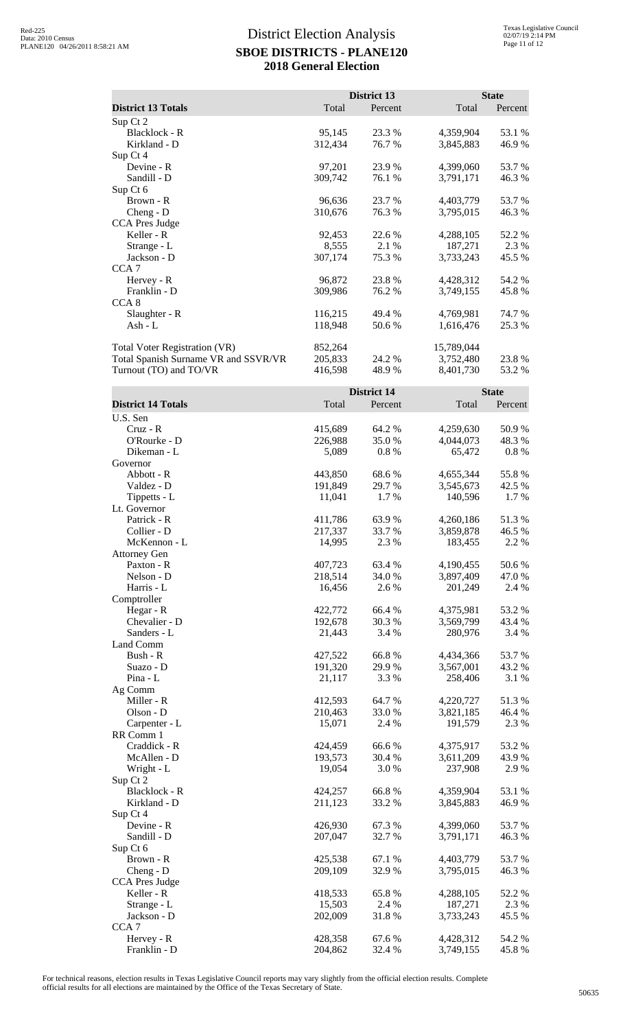|                                      |         | District 13 |            | <b>State</b> |  |
|--------------------------------------|---------|-------------|------------|--------------|--|
| <b>District 13 Totals</b>            | Total   | Percent     | Total      | Percent      |  |
| Sup Ct 2                             |         |             |            |              |  |
| <b>Blacklock - R</b>                 | 95,145  | 23.3 %      | 4,359,904  | 53.1 %       |  |
| Kirkland - D                         | 312,434 | 76.7 %      | 3,845,883  | 46.9%        |  |
| Sup Ct 4                             |         |             |            |              |  |
| Devine - R                           | 97,201  | 23.9 %      | 4,399,060  | 53.7 %       |  |
| Sandill - D                          | 309,742 | 76.1 %      | 3,791,171  | 46.3 %       |  |
| Sup Ct 6                             |         |             |            |              |  |
| Brown - R                            | 96,636  | 23.7 %      | 4,403,779  | 53.7 %       |  |
| $Cheng - D$                          | 310,676 | 76.3 %      | 3,795,015  | 46.3 %       |  |
| <b>CCA Pres Judge</b>                |         |             |            |              |  |
| Keller - R                           | 92,453  | 22.6 %      | 4,288,105  | 52.2 %       |  |
| Strange - L                          | 8,555   | 2.1 %       | 187,271    | 2.3 %        |  |
| Jackson - D                          | 307,174 | 75.3 %      | 3,733,243  | 45.5 %       |  |
| CCA <sub>7</sub>                     |         |             |            |              |  |
| Hervey - R                           | 96,872  | 23.8 %      | 4,428,312  | 54.2 %       |  |
| Franklin - D                         | 309,986 | 76.2 %      | 3,749,155  | 45.8%        |  |
| CCA <sub>8</sub>                     |         |             |            |              |  |
| Slaughter - R                        | 116,215 | 49.4 %      | 4,769,981  | 74.7 %       |  |
| Ash - $L$                            | 118,948 | 50.6 %      | 1,616,476  | 25.3 %       |  |
| <b>Total Voter Registration (VR)</b> | 852,264 |             | 15,789,044 |              |  |
| Total Spanish Surname VR and SSVR/VR | 205,833 | 24.2 %      | 3,752,480  | 23.8 %       |  |
| Turnout (TO) and TO/VR               | 416,598 | 48.9 %      | 8,401,730  | 53.2 %       |  |

|                           | <b>District 14</b> |         |           | <b>State</b> |  |
|---------------------------|--------------------|---------|-----------|--------------|--|
| <b>District 14 Totals</b> | Total              | Percent | Total     | Percent      |  |
| U.S. Sen                  |                    |         |           |              |  |
| Cruz - R                  | 415,689            | 64.2 %  | 4,259,630 | 50.9%        |  |
| O'Rourke - D              | 226,988            | 35.0%   | 4,044,073 | 48.3%        |  |
| Dikeman - L               | 5,089              | 0.8 %   | 65,472    | $0.8\ \%$    |  |
| Governor                  |                    |         |           |              |  |
| Abbott - R                | 443,850            | 68.6%   | 4,655,344 | 55.8%        |  |
| Valdez - D                | 191,849            | 29.7 %  | 3,545,673 | 42.5 %       |  |
| Tippetts - L              | 11,041             | 1.7 %   | 140,596   | 1.7 %        |  |
| Lt. Governor              |                    |         |           |              |  |
| Patrick - R               | 411,786            | 63.9%   | 4,260,186 | 51.3%        |  |
| Collier - D               | 217,337            | 33.7 %  | 3,859,878 | 46.5 %       |  |
| McKennon - L              | 14,995             | 2.3 %   | 183,455   | 2.2 %        |  |
| <b>Attorney Gen</b>       |                    |         |           |              |  |
| Paxton - R                | 407,723            | 63.4 %  | 4,190,455 | 50.6%        |  |
| Nelson - D                | 218,514            | 34.0%   | 3,897,409 | 47.0 %       |  |
| Harris - L                | 16,456             | 2.6%    | 201,249   | 2.4 %        |  |
| Comptroller               |                    |         |           |              |  |
| Hegar - R                 | 422,772            | 66.4 %  | 4,375,981 | 53.2%        |  |
| Chevalier - D             | 192,678            | 30.3%   | 3,569,799 | 43.4 %       |  |
| Sanders - L               | 21,443             | 3.4 %   | 280,976   | 3.4 %        |  |
| Land Comm                 |                    |         |           |              |  |
| Bush - R                  | 427,522            | 66.8%   | 4,434,366 | 53.7%        |  |
| Suazo - D                 | 191,320            | 29.9%   | 3,567,001 | 43.2 %       |  |
| Pina - L                  | 21,117             | 3.3 %   | 258,406   | 3.1 %        |  |
| Ag Comm                   |                    |         |           |              |  |
| Miller - R                | 412,593            | 64.7%   | 4,220,727 | 51.3%        |  |
| Olson - D                 | 210,463            | 33.0%   | 3,821,185 | 46.4 %       |  |
| Carpenter - L             | 15,071             | 2.4 %   | 191,579   | 2.3 %        |  |
| RR Comm 1                 |                    |         |           |              |  |
| Craddick - R              | 424,459            | 66.6%   | 4,375,917 | 53.2 %       |  |
| McAllen - D               | 193,573            | 30.4 %  | 3,611,209 | 43.9%        |  |
| Wright - L                | 19,054             | 3.0%    | 237,908   | 2.9%         |  |
| Sup Ct 2                  |                    |         |           |              |  |
| Blacklock - R             | 424,257            | 66.8%   | 4,359,904 | 53.1 %       |  |
| Kirkland - D              | 211,123            | 33.2 %  | 3,845,883 | 46.9%        |  |
| Sup Ct 4                  |                    |         |           |              |  |
| Devine - R                | 426,930            | 67.3 %  | 4,399,060 | 53.7%        |  |
| Sandill - D               | 207,047            | 32.7 %  | 3,791,171 | 46.3%        |  |
| Sup Ct 6                  |                    |         |           |              |  |
| Brown - R                 | 425,538            | 67.1 %  | 4,403,779 | 53.7%        |  |
| Cheng - D                 | 209,109            | 32.9%   | 3,795,015 | 46.3%        |  |
| CCA Pres Judge            |                    |         |           |              |  |
| Keller - R                | 418,533            | 65.8%   | 4,288,105 | 52.2 %       |  |
| Strange - L               | 15,503             | 2.4 %   | 187,271   | 2.3 %        |  |
| Jackson - D               | 202,009            | 31.8%   | 3,733,243 | 45.5 %       |  |
| CCA <sub>7</sub>          |                    |         |           |              |  |
| Hervey - R                | 428,358            | 67.6%   | 4,428,312 | 54.2 %       |  |
| Franklin - D              | 204,862            | 32.4 %  | 3,749,155 | 45.8%        |  |